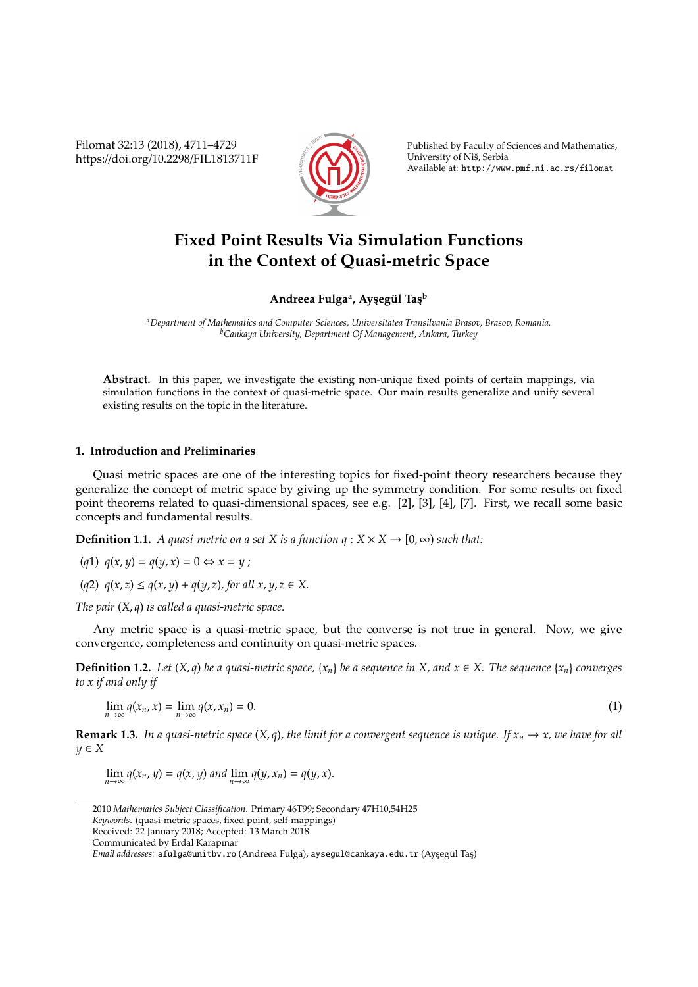Filomat 32:13 (2018), 4711–4729 https://doi.org/10.2298/FIL1813711F



Published by Faculty of Sciences and Mathematics, University of Niš, Serbia Available at: http://www.pmf.ni.ac.rs/filomat

## **Fixed Point Results Via Simulation Functions in the Context of Quasi-metric Space**

 $\mathbf A$ ndreea Fulga $\mathbf a$ , Ayşegül Taş $\mathbf b$ 

*<sup>a</sup>Department of Mathematics and Computer Sciences, Universitatea Transilvania Brasov, Brasov, Romania. <sup>b</sup>Cankaya University, Department Of Management, Ankara, Turkey*

**Abstract.** In this paper, we investigate the existing non-unique fixed points of certain mappings, via simulation functions in the context of quasi-metric space. Our main results generalize and unify several existing results on the topic in the literature.

## **1. Introduction and Preliminaries**

Quasi metric spaces are one of the interesting topics for fixed-point theory researchers because they generalize the concept of metric space by giving up the symmetry condition. For some results on fixed point theorems related to quasi-dimensional spaces, see e.g. [2], [3], [4], [7]. First, we recall some basic concepts and fundamental results.

**Definition 1.1.** *A quasi-metric on a set X is a function*  $q : X \times X \rightarrow [0, \infty)$  *such that:* 

 $(q1)$   $q(x, y) = q(y, x) = 0 \Leftrightarrow x = y;$ 

 $(q2)$   $q(x, z) \leq q(x, y) + q(y, z)$ , for all  $x, y, z \in X$ .

*The pair* (*X*, *q*) *is called a quasi-metric space.*

Any metric space is a quasi-metric space, but the converse is not true in general. Now, we give convergence, completeness and continuity on quasi-metric spaces.

**Definition 1.2.** Let  $(X, q)$  be a quasi-metric space,  $\{x_n\}$  be a sequence in X, and  $x \in X$ . The sequence  $\{x_n\}$  converges *to x if and only if*

$$
\lim_{n \to \infty} q(x_n, x) = \lim_{n \to \infty} q(x, x_n) = 0. \tag{1}
$$

**Remark 1.3.** In a quasi-metric space  $(X, q)$ , the limit for a convergent sequence is unique. If  $x_n \to x$ , we have for all *y* ∈ *X*

 $\lim_{n\to\infty} q(x_n, y) = q(x, y)$  and  $\lim_{n\to\infty} q(y, x_n) = q(y, x)$ .

<sup>2010</sup> *Mathematics Subject Classification*. Primary 46T99; Secondary 47H10,54H25

*Keywords*. (quasi-metric spaces, fixed point, self-mappings)

Received: 22 January 2018; Accepted: 13 March 2018

Communicated by Erdal Karapınar

*Email addresses:* afulga@unitbv.ro (Andreea Fulga), aysegul@cankaya.edu.tr (Ayşegül Taş)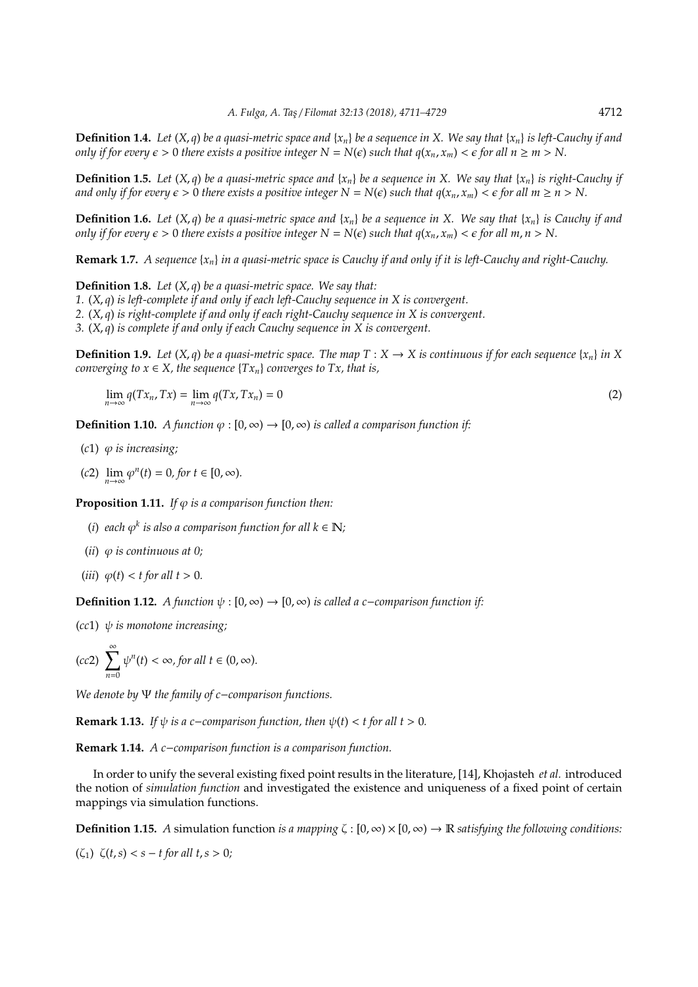**Definition 1.4.** Let  $(X, q)$  be a quasi-metric space and  $\{x_n\}$  be a sequence in X. We say that  $\{x_n\}$  is left-Cauchy if and *only if for every*  $\epsilon > 0$  *there exists a positive integer*  $N = N(\epsilon)$  *such that*  $q(x_n, x_m) < \epsilon$  *for all n*  $\geq m > N$ .

**Definition 1.5.** Let  $(X, q)$  be a quasi-metric space and  $\{x_n\}$  be a sequence in X. We say that  $\{x_n\}$  is right-Cauchy if *and only if for every*  $\epsilon > 0$  *there exists a positive integer*  $N = N(\epsilon)$  *such that*  $q(x_n, x_m) < \epsilon$  *for all m*  $\ge n > N$ *.* 

**Definition 1.6.** Let  $(X, q)$  be a quasi-metric space and  $\{x_n\}$  be a sequence in X. We say that  $\{x_n\}$  is Cauchy if and *only if for every*  $\epsilon > 0$  *there exists a positive integer*  $N = N(\epsilon)$  *such that*  $q(x_n, x_m) < \epsilon$  *for all m, n* > N.

**Remark 1.7.** *A sequence* {*xn*} *in a quasi-metric space is Cauchy if and only if it is left-Cauchy and right-Cauchy.*

**Definition 1.8.** *Let* (*X*, *q*) *be a quasi-metric space. We say that: 1.* (*X*, *q*) *is left-complete if and only if each left-Cauchy sequence in X is convergent. 2.* (*X*, *q*) *is right-complete if and only if each right-Cauchy sequence in X is convergent. 3.* (*X*, *q*) *is complete if and only if each Cauchy sequence in X is convergent.*

**Definition 1.9.** Let  $(X, q)$  be a quasi-metric space. The map  $T : X \to X$  is continuous if for each sequence  $\{x_n\}$  in X *converging to*  $x \in X$ *, the sequence*  $\{Tx_n\}$  *converges to*  $Tx$ *, that is,* 

$$
\lim_{n \to \infty} q(Tx_n, Tx) = \lim_{n \to \infty} q(Tx, Tx_n) = 0
$$
\n(2)

**Definition 1.10.** *A function*  $\varphi$  :  $[0, \infty) \to [0, \infty)$  *is called a comparison function if:* 

- (*c*1) ϕ *is increasing;*
- $(c2)$   $\lim_{n \to \infty} \varphi^n(t) = 0$ , for  $t \in [0, \infty)$ .

**Proposition 1.11.** *If*  $\varphi$  *is a comparison function then:* 

- (*i*) *each*  $\varphi^k$  *is also a comparison function for all*  $k \in \mathbb{N}$ *;*
- (*ii*) ϕ *is continuous at 0;*
- (*iii*)  $\varphi(t) < t$  for all  $t > 0$ .

**Definition 1.12.** *A function*  $\psi$  : [0, ∞) → [0, ∞) *is called a c*−*comparison function if*:

(*cc*1) ψ *is monotone increasing;*

$$
(cc2)\ \ \sum_{n=0}^{\infty}\psi^{n}(t)<\infty, for\ all\ t\in(0,\infty).
$$

*We denote by* Ψ *the family of c*−*comparison functions.*

**Remark 1.13.** *If*  $\psi$  *is a c*−*comparison function, then*  $\psi(t) < t$  *for all t* > 0*.* 

**Remark 1.14.** *A c*−*comparison function is a comparison function.*

In order to unify the several existing fixed point results in the literature, [14], Khojasteh *et al.* introduced the notion of *simulation function* and investigated the existence and uniqueness of a fixed point of certain mappings via simulation functions.

**Definition 1.15.** *A* simulation function *is a mapping*  $\zeta$  :  $[0, \infty) \times [0, \infty) \to \mathbb{R}$  *satisfying the following conditions:* 

(ζ1) ζ(*t*,*s*) < *s* − *t for all t*,*s* > 0*;*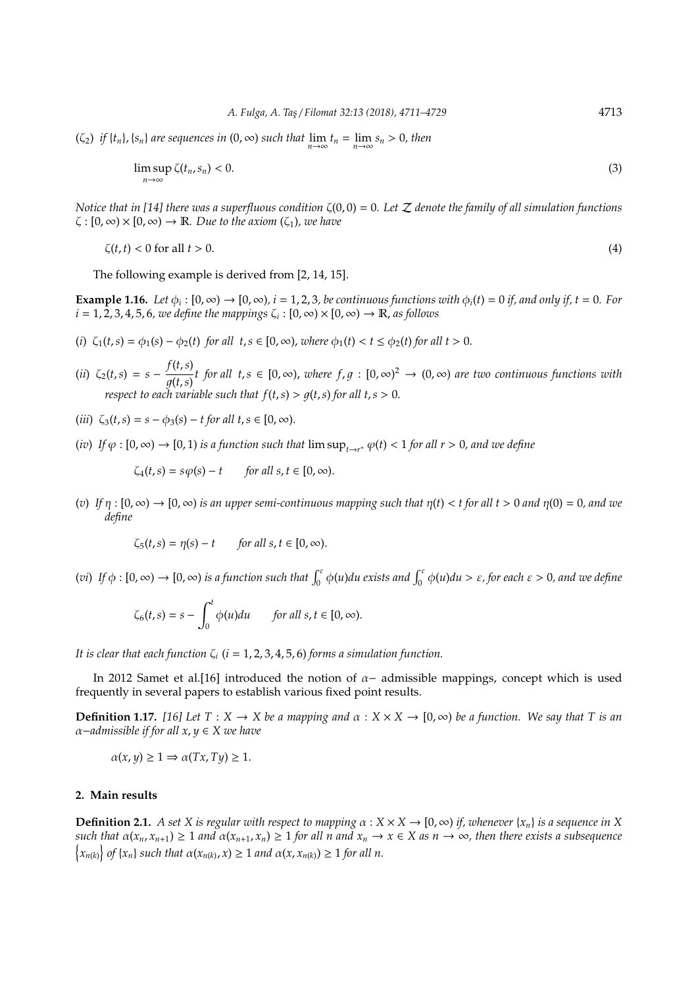$(\zeta_2)$  *if*  $\{t_n\}$ ,  $\{s_n\}$  *are sequences in*  $(0, \infty)$  *such that*  $\lim_{n\to\infty} t_n = \lim_{n\to\infty} s_n > 0$ , *then* 

$$
\limsup_{n \to \infty} \zeta(t_n, s_n) < 0. \tag{3}
$$

*Notice that in [14] there was a superfluous condition* ζ(0, 0) = 0*. Let* Z *denote the family of all simulation functions*  $\zeta : [0, \infty) \times [0, \infty) \to \mathbb{R}$ . Due to the axiom  $(\zeta_1)$ , we have

$$
\zeta(t,t) < 0 \text{ for all } t > 0. \tag{4}
$$

The following example is derived from [2, 14, 15].

**Example 1.16.** *Let*  $\phi_i$ :  $[0,\infty) \to [0,\infty)$ ,  $i = 1, 2, 3$ , be continuous functions with  $\phi_i(t) = 0$  if, and only if,  $t = 0$ . For  $i=1,2,3,4,5,6$ , we define the mappings  $\zeta_i:[0,\infty)\times[0,\infty)\to\mathbb{R}$ , as follows

- (*i*)  $\zeta_1(t,s) = \phi_1(s) \phi_2(t)$  *for all t*,  $s \in [0, \infty)$ , *where*  $\phi_1(t) < t \le \phi_2(t)$  *for all t* > 0.
- (*ii*)  $\zeta_2(t,s) = s \frac{f(t,s)}{g(t,s)}$  $\frac{f(t,s)}{g(t,s)}$ t for all t,  $s \in [0,\infty)$ , *where*  $f, g : [0,\infty)^2 \to (0,\infty)$  are two continuous functions with *respect to each variable such that*  $f(t,s) > g(t,s)$  *for all*  $t,s > 0.$
- (*iii*)  $\zeta_3(t,s) = s \phi_3(s) t$  for all  $t, s \in [0, \infty)$ .
- (*iv*) If  $\varphi : [0, \infty) \to [0, 1)$  *is a function such that*  $\limsup_{t \to r^+} \varphi(t) < 1$  *for all r* > 0*, and we define*

 $\zeta_A(t,s) = s\omega(s) - t$  for all  $s, t \in [0, \infty)$ .

(*v*) If  $\eta$ :  $[0, \infty) \to [0, \infty)$  *is an upper semi-continuous mapping such that*  $\eta(t) < t$  *for all*  $t > 0$  *and*  $\eta(0) = 0$ *, and we define*

$$
\zeta_5(t,s)=\eta(s)-t \qquad \text{for all } s,t\in[0,\infty).
$$

(*vi*) If  $\phi : [0, \infty) \to [0, \infty)$  is a function such that  $\int_0^{\varepsilon} \phi(u) du$  exists and  $\int_0^{\varepsilon} \phi(u) du > \varepsilon$ , for each  $\varepsilon > 0$ , and we define

$$
\zeta_6(t,s) = s - \int_0^t \phi(u) du \quad \text{for all } s, t \in [0,\infty).
$$

*It is clear that each function* ζ*<sup>i</sup>* (*i* = 1, 2, 3, 4, 5, 6) *forms a simulation function.*

In 2012 Samet et al.[16] introduced the notion of  $\alpha-$  admissible mappings, concept which is used frequently in several papers to establish various fixed point results.

**Definition 1.17.** [16] Let  $T : X \to X$  be a mapping and  $\alpha : X \times X \to [0, \infty)$  be a function. We say that T is an α−*admissible if for all x*, *y* ∈ *X we have*

$$
\alpha(x, y) \ge 1 \Rightarrow \alpha(Tx, Ty) \ge 1.
$$

## **2. Main results**

**Definition 2.1.** *A set X is regular with respect to mapping*  $\alpha$  :  $X \times X \rightarrow [0, \infty)$  *if, whenever*  $\{x_n\}$  *is a sequence in* X  $such that \alpha(x_n, x_{n+1}) \geq 1$  *and*  $\alpha(x_{n+1}, x_n) \geq 1$  *for all n and*  $x_n \to x \in X$  *as*  $n \to \infty$ *, then there exists a subsequence*  $\{x_{n(k)}\}$  of  $\{x_n\}$  such that  $\alpha(x_{n(k)}, x) \geq 1$  and  $\alpha(x, x_{n(k)}) \geq 1$  for all n.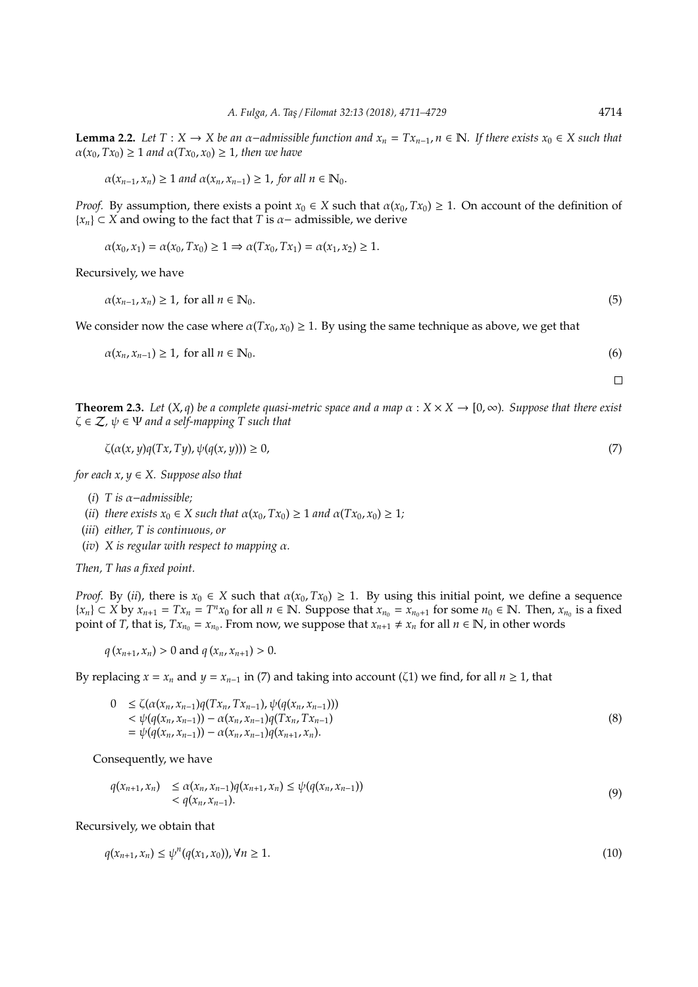**Lemma 2.2.** *Let*  $T : X → X$  *be an*  $α-admissible function$  *and*  $x_n = Tx_{n-1}, n ∈ ℕ$ *. If there exists*  $x_0 ∈ X$  *such that*  $\alpha(x_0, Tx_0) \geq 1$  *and*  $\alpha(Tx_0, x_0) \geq 1$ *, then we have* 

$$
\alpha(x_{n-1}, x_n) \ge 1
$$
 and  $\alpha(x_n, x_{n-1}) \ge 1$ , for all  $n \in \mathbb{N}_0$ .

*Proof.* By assumption, there exists a point  $x_0 \in X$  such that  $\alpha(x_0, Tx_0) \ge 1$ . On account of the definition of {*xn*} ⊂ *X* and owing to the fact that *T* is α− admissible, we derive

$$
\alpha(x_0, x_1) = \alpha(x_0, Tx_0) \ge 1 \Rightarrow \alpha(Tx_0, Tx_1) = \alpha(x_1, x_2) \ge 1.
$$

Recursively, we have

$$
\alpha(x_{n-1}, x_n) \ge 1, \text{ for all } n \in \mathbb{N}_0. \tag{5}
$$

We consider now the case where  $\alpha(Tx_0, x_0) \geq 1$ . By using the same technique as above, we get that

$$
\alpha(x_n, x_{n-1}) \ge 1, \text{ for all } n \in \mathbb{N}_0. \tag{6}
$$

 $\Box$ 

**Theorem 2.3.** *Let*  $(X, q)$  *be a complete quasi-metric space and a map*  $\alpha : X \times X \to [0, \infty)$ *. Suppose that there exist*  $\zeta \in \mathcal{Z}$ ,  $\psi \in \Psi$  and a self-mapping T such that

$$
\zeta(\alpha(x, y)q(Tx, Ty), \psi(q(x, y))) \ge 0,\tag{7}
$$

*for each x*, *y* ∈ *X. Suppose also that*

- (*i*) *T is* α−*admissible;*
- (*ii*) *there exists*  $x_0 \in X$  *such that*  $\alpha(x_0, Tx_0) \ge 1$  *and*  $\alpha(Tx_0, x_0) \ge 1$ *;*
- (*iii*) *either, T is continuous, or*
- (*iv*) *X is regular with respect to mapping* α*.*

*Then, T has a fixed point.*

*Proof.* By (*ii*), there is  $x_0 \in X$  such that  $\alpha(x_0, Tx_0) \ge 1$ . By using this initial point, we define a sequence  $\{x_n\} \subset X$  by  $x_{n+1} = Tx_n = T^n x_0$  for all  $n \in \mathbb{N}$ . Suppose that  $x_{n_0} = x_{n_0+1}$  for some  $n_0 \in \mathbb{N}$ . Then,  $x_{n_0}$  is a fixed point of *T*, that is,  $Tx_{n_0} = x_{n_0}$ . From now, we suppose that  $x_{n+1} \neq x_n$  for all  $n \in \mathbb{N}$ , in other words

 $q(x_{n+1}, x_n) > 0$  and  $q(x_n, x_{n+1}) > 0$ .

By replacing  $x = x_n$  and  $y = x_{n-1}$  in (7) and taking into account ( $\zeta$ 1) we find, for all  $n \ge 1$ , that

$$
0 \leq \zeta(\alpha(x_n, x_{n-1})q(Tx_n, Tx_{n-1}), \psi(q(x_n, x_{n-1}))) \n< \psi(q(x_n, x_{n-1})) - \alpha(x_n, x_{n-1})q(Tx_n, Tx_{n-1}) \n= \psi(q(x_n, x_{n-1})) - \alpha(x_n, x_{n-1})q(x_{n+1}, x_n).
$$
\n(8)

Consequently, we have

$$
q(x_{n+1}, x_n) \leq \alpha(x_n, x_{n-1}) q(x_{n+1}, x_n) \leq \psi(q(x_n, x_{n-1})) < q(x_n, x_{n-1}).
$$
 (9)

Recursively, we obtain that

 $q(x_{n+1}, x_n) \le \psi^n(q(x_1, x_0))$ ,  $\forall n \ge 1$ . (10)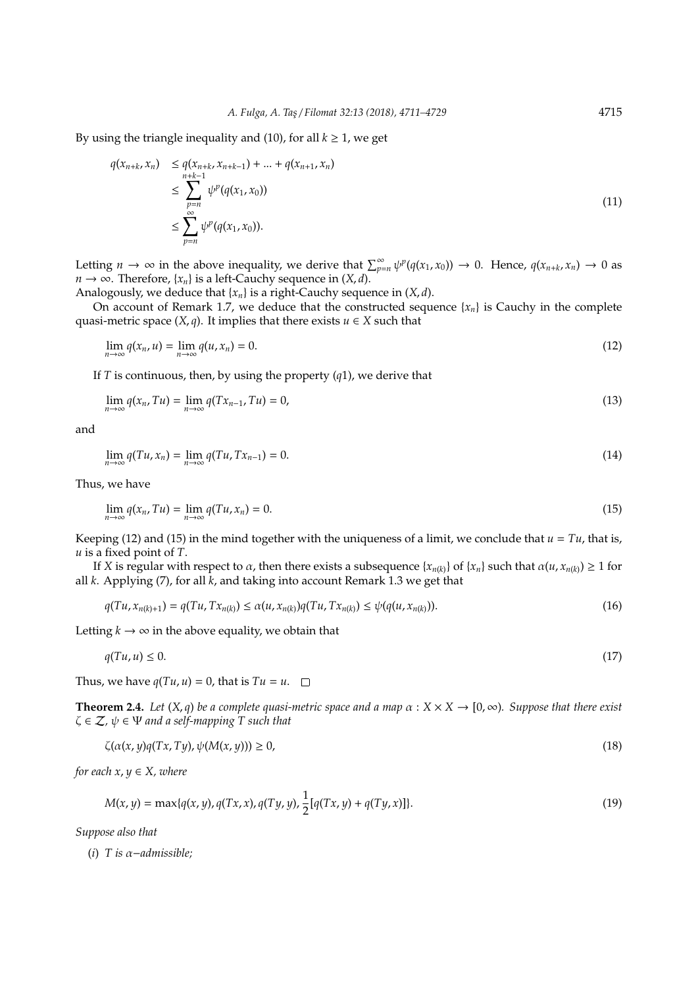By using the triangle inequality and (10), for all  $k \geq 1$ , we get

$$
q(x_{n+k}, x_n) \leq q(x_{n+k}, x_{n+k-1}) + ... + q(x_{n+1}, x_n)
$$
  
\n
$$
\leq \sum_{p=n}^{n+k-1} \psi^p(q(x_1, x_0))
$$
  
\n
$$
\leq \sum_{p=n}^{\infty} \psi^p(q(x_1, x_0)).
$$
\n(11)

Letting  $n \to \infty$  in the above inequality, we derive that  $\sum_{p=n}^{\infty} \psi^p(q(x_1, x_0)) \to 0$ . Hence,  $q(x_{n+k}, x_n) \to 0$  as *n* → ∞. Therefore, { $x_n$ } is a left-Cauchy sequence in (*X*, *d*).

Analogously, we deduce that {*xn*} is a right-Cauchy sequence in (*X*, *d*).

On account of Remark 1.7, we deduce that the constructed sequence  $\{x_n\}$  is Cauchy in the complete quasi-metric space  $(X, q)$ . It implies that there exists  $u \in X$  such that

$$
\lim_{n \to \infty} q(x_n, u) = \lim_{n \to \infty} q(u, x_n) = 0. \tag{12}
$$

If *T* is continuous, then, by using the property (*q*1), we derive that

$$
\lim_{n \to \infty} q(x_n, Tu) = \lim_{n \to \infty} q(Tx_{n-1}, Tu) = 0,\tag{13}
$$

and

$$
\lim_{n \to \infty} q(Tu, x_n) = \lim_{n \to \infty} q(Tu, Tx_{n-1}) = 0. \tag{14}
$$

Thus, we have

$$
\lim_{n \to \infty} q(x_n, Tu) = \lim_{n \to \infty} q(Tu, x_n) = 0. \tag{15}
$$

Keeping (12) and (15) in the mind together with the uniqueness of a limit, we conclude that  $u = Tu$ , that is, *u* is a fixed point of *T*.

If *X* is regular with respect to  $\alpha$ , then there exists a subsequence { $x_{n(k)}$ } of { $x_n$ } such that  $\alpha(u, x_{n(k)}) \ge 1$  for all *k*. Applying (7), for all *k*, and taking into account Remark 1.3 we get that

$$
q(Tu, x_{n(k)+1}) = q(Tu, Tx_{n(k)}) \le \alpha(u, x_{n(k)})q(Tu, Tx_{n(k)}) \le \psi(q(u, x_{n(k)})).
$$
\n(16)

Letting  $k \to \infty$  in the above equality, we obtain that

$$
q(Tu, u) \le 0. \tag{17}
$$

Thus, we have  $q(Tu, u) = 0$ , that is  $Tu = u$ .  $\square$ 

**Theorem 2.4.** *Let*  $(X, q)$  *be a complete quasi-metric space and a map*  $\alpha : X \times X \to [0, \infty)$ *. Suppose that there exist*  $\zeta \in \mathcal{Z}$ ,  $\psi \in \Psi$  and a self-mapping T such that

$$
\zeta(\alpha(x, y)q(Tx, Ty), \psi(M(x, y))) \ge 0,\tag{18}
$$

*for each*  $x, y \in X$ *, where* 

$$
M(x, y) = \max\{q(x, y), q(Tx, x), q(Ty, y), \frac{1}{2}[q(Tx, y) + q(Ty, x)]\}.
$$
\n(19)

*Suppose also that*

(*i*) *T is* α−*admissible;*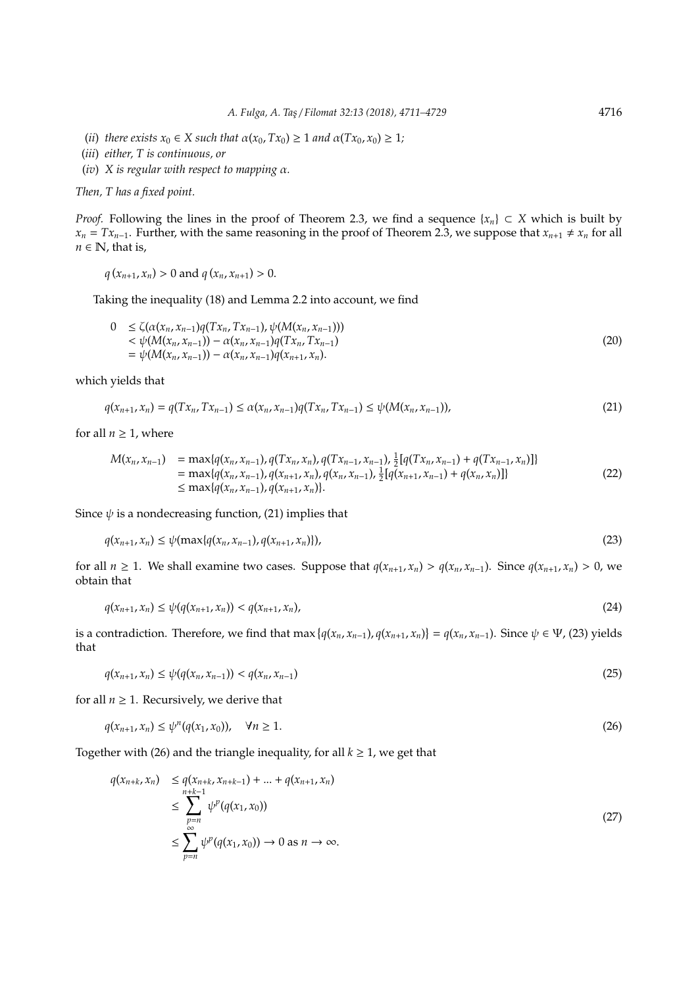- (*ii*) *there exists*  $x_0 \in X$  *such that*  $\alpha(x_0, Tx_0) \ge 1$  *and*  $\alpha(Tx_0, x_0) \ge 1$ *;*
- (*iii*) *either, T is continuous, or*
- (*iv*) *X is regular with respect to mapping* α*.*

*Then, T has a fixed point.*

*Proof.* Following the lines in the proof of Theorem 2.3, we find a sequence  $\{x_n\} \subset X$  which is built by  $x_n = Tx_{n-1}$ . Further, with the same reasoning in the proof of Theorem 2.3, we suppose that  $x_{n+1} \neq x_n$  for all  $n \in \mathbb{N}$ , that is,

 $q(x_{n+1}, x_n) > 0$  and  $q(x_n, x_{n+1}) > 0$ .

Taking the inequality (18) and Lemma 2.2 into account, we find

$$
0 \le \zeta(\alpha(x_n, x_{n-1})q(Tx_n, Tx_{n-1}), \psi(M(x_n, x_{n-1}))) \n< \psi(M(x_n, x_{n-1})) - \alpha(x_n, x_{n-1})q(Tx_n, Tx_{n-1}) \n= \psi(M(x_n, x_{n-1})) - \alpha(x_n, x_{n-1})q(x_{n+1}, x_n).
$$
\n(20)

which yields that

$$
q(x_{n+1}, x_n) = q(Tx_n, Tx_{n-1}) \le \alpha(x_n, x_{n-1})q(Tx_n, Tx_{n-1}) \le \psi(M(x_n, x_{n-1})),
$$
\n(21)

for all  $n \geq 1$ , where

$$
M(x_n, x_{n-1}) = \max\{q(x_n, x_{n-1}), q(Tx_n, x_n), q(Tx_{n-1}, x_{n-1}), \frac{1}{2}[q(Tx_n, x_{n-1}) + q(Tx_{n-1}, x_n)]\}
$$
  
=  $\max\{q(x_n, x_{n-1}), q(x_{n+1}, x_n), q(x_n, x_{n-1}), \frac{1}{2}[q(x_{n+1}, x_{n-1}) + q(x_n, x_n)]\}$   
\$\leq\$  $\max\{q(x_n, x_{n-1}), q(x_{n+1}, x_n)\}.$  (22)

Since  $\psi$  is a nondecreasing function, (21) implies that

$$
q(x_{n+1}, x_n) \le \psi(\max\{q(x_n, x_{n-1}), q(x_{n+1}, x_n)\}),
$$
\n(23)

for all *n* ≥ 1. We shall examine two cases. Suppose that  $q(x_{n+1}, x_n) > q(x_n, x_{n-1})$ . Since  $q(x_{n+1}, x_n) > 0$ , we obtain that

$$
q(x_{n+1}, x_n) \le \psi(q(x_{n+1}, x_n)) < q(x_{n+1}, x_n),\tag{24}
$$

is a contradiction. Therefore, we find that max  $\{q(x_n, x_{n-1}), q(x_{n+1}, x_n)\} = q(x_n, x_{n-1})$ . Since  $\psi \in \Psi$ , (23) yields that

$$
q(x_{n+1}, x_n) \le \psi(q(x_n, x_{n-1})) < q(x_n, x_{n-1}) \tag{25}
$$

for all  $n \geq 1$ . Recursively, we derive that

$$
q(x_{n+1},x_n) \le \psi^n(q(x_1,x_0)), \quad \forall n \ge 1. \tag{26}
$$

Together with (26) and the triangle inequality, for all  $k \ge 1$ , we get that

$$
q(x_{n+k}, x_n) \le q(x_{n+k}, x_{n+k-1}) + ... + q(x_{n+1}, x_n)
$$
  
\n
$$
\le \sum_{p=n}^{n+k-1} \psi^p(q(x_1, x_0))
$$
  
\n
$$
\le \sum_{p=n}^{\infty} \psi^p(q(x_1, x_0)) \to 0 \text{ as } n \to \infty.
$$
\n(27)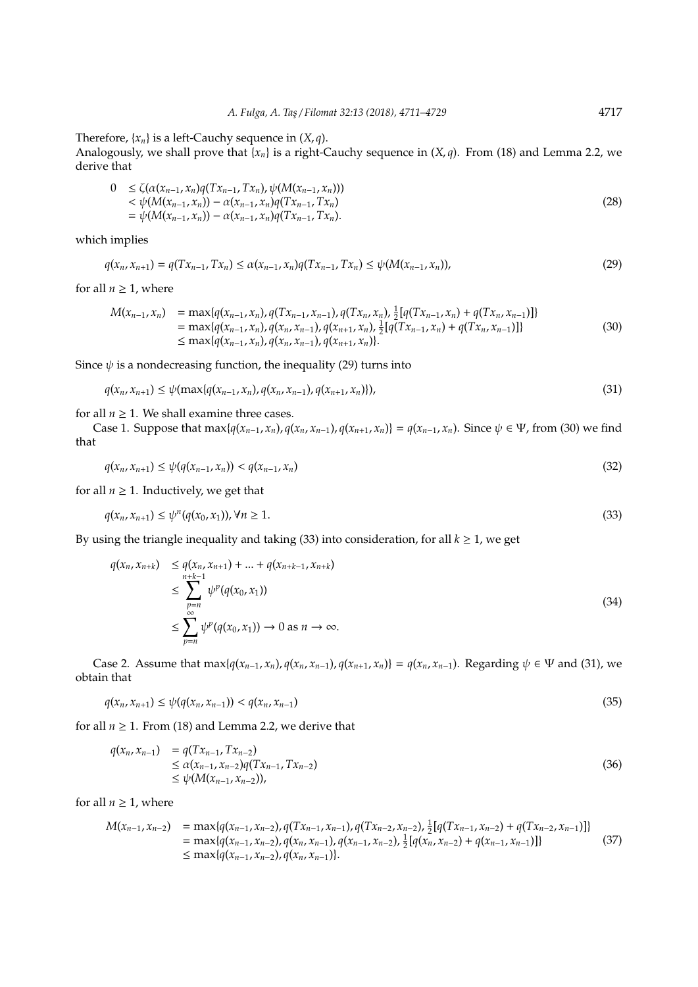Therefore,  $\{x_n\}$  is a left-Cauchy sequence in  $(X, q)$ .

Analogously, we shall prove that  $\{x_n\}$  is a right-Cauchy sequence in  $(X, q)$ . From (18) and Lemma 2.2, we derive that

$$
0 \le \zeta(\alpha(x_{n-1}, x_n)q(Tx_{n-1}, Tx_n), \psi(M(x_{n-1}, x_n))) \n< \psi(M(x_{n-1}, x_n)) - \alpha(x_{n-1}, x_n)q(Tx_{n-1}, Tx_n) \n= \psi(M(x_{n-1}, x_n)) - \alpha(x_{n-1}, x_n)q(Tx_{n-1}, Tx_n).
$$
\n(28)

which implies

$$
q(x_n, x_{n+1}) = q(Tx_{n-1}, Tx_n) \le \alpha(x_{n-1}, x_n)q(Tx_{n-1}, Tx_n) \le \psi(M(x_{n-1}, x_n)),
$$
\n(29)

for all  $n \geq 1$ , where

$$
M(x_{n-1}, x_n) = \max\{q(x_{n-1}, x_n), q(Tx_{n-1}, x_{n-1}), q(Tx_n, x_n), \frac{1}{2}[q(Tx_{n-1}, x_n) + q(Tx_n, x_{n-1})]\}
$$
  
=  $\max\{q(x_{n-1}, x_n), q(x_n, x_{n-1}), q(x_{n+1}, x_n), \frac{1}{2}[q(Tx_{n-1}, x_n) + q(Tx_n, x_{n-1})]\}$   
\$\leq \max\{q(x\_{n-1}, x\_n), q(x\_n, x\_{n-1}), q(x\_{n+1}, x\_n)\}. \tag{30}

Since  $\psi$  is a nondecreasing function, the inequality (29) turns into

$$
q(x_n, x_{n+1}) \leq \psi(\max\{q(x_{n-1}, x_n), q(x_n, x_{n-1}), q(x_{n+1}, x_n)\}),
$$
\n(31)

for all  $n \geq 1$ . We shall examine three cases.

Case 1. Suppose that  $\max\{q(x_{n-1},x_n), q(x_n,x_{n-1}), q(x_{n+1},x_n)\} = q(x_{n-1},x_n)$ . Since  $\psi \in \Psi$ , from (30) we find that

$$
q(x_n, x_{n+1}) \le \psi(q(x_{n-1}, x_n)) < q(x_{n-1}, x_n) \tag{32}
$$

for all  $n \geq 1$ . Inductively, we get that

$$
q(x_n, x_{n+1}) \le \psi^n(q(x_0, x_1)), \forall n \ge 1. \tag{33}
$$

By using the triangle inequality and taking (33) into consideration, for all  $k \geq 1$ , we get

$$
q(x_n, x_{n+k}) \le q(x_n, x_{n+1}) + ... + q(x_{n+k-1}, x_{n+k})
$$
  
\n
$$
\le \sum_{p=n}^{n+k-1} \psi^p(q(x_0, x_1))
$$
  
\n
$$
\le \sum_{p=n}^{\infty} \psi^p(q(x_0, x_1)) \to 0 \text{ as } n \to \infty.
$$
 (34)

Case 2. Assume that  $\max\{q(x_{n-1},x_n), q(x_n,x_{n-1}), q(x_{n+1},x_n)\} = q(x_n,x_{n-1})$ . Regarding  $\psi \in \Psi$  and (31), we obtain that

$$
q(x_n, x_{n+1}) \le \psi(q(x_n, x_{n-1})) < q(x_n, x_{n-1}) \tag{35}
$$

for all  $n \geq 1$ . From (18) and Lemma 2.2, we derive that

$$
q(x_n, x_{n-1}) = q(Tx_{n-1}, Tx_{n-2})
$$
  
\n
$$
\leq \alpha(x_{n-1}, x_{n-2})q(Tx_{n-1}, Tx_{n-2})
$$
  
\n
$$
\leq \psi(M(x_{n-1}, x_{n-2})),
$$
\n(36)

for all  $n \geq 1$ , where

$$
M(x_{n-1}, x_{n-2}) = \max\{q(x_{n-1}, x_{n-2}), q(Tx_{n-1}, x_{n-1}), q(Tx_{n-2}, x_{n-2}), \frac{1}{2}[q(Tx_{n-1}, x_{n-2}) + q(Tx_{n-2}, x_{n-1})]\}
$$
  
=  $\max\{q(x_{n-1}, x_{n-2}), q(x_n, x_{n-1}), q(x_{n-1}, x_{n-2}), \frac{1}{2}[q(x_n, x_{n-2}) + q(x_{n-1}, x_{n-1})]\}$   
\$\leq \max\{q(x\_{n-1}, x\_{n-2}), q(x\_n, x\_{n-1})\}. (37)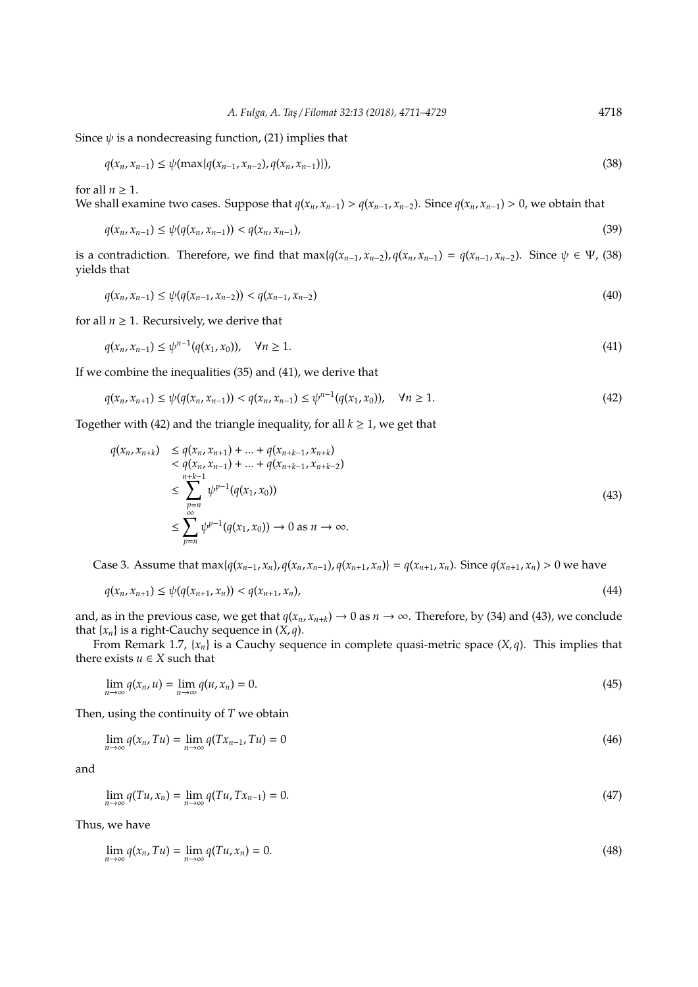Since  $\psi$  is a nondecreasing function, (21) implies that

$$
q(x_n, x_{n-1}) \leq \psi(\max\{q(x_{n-1}, x_{n-2}), q(x_n, x_{n-1})\}),
$$
\n(38)

for all  $n \geq 1$ .

We shall examine two cases. Suppose that  $q(x_n, x_{n-1}) > q(x_{n-1}, x_{n-2})$ . Since  $q(x_n, x_{n-1}) > 0$ , we obtain that

$$
q(x_n, x_{n-1}) \le \psi(q(x_n, x_{n-1})) < q(x_n, x_{n-1}), \tag{39}
$$

is a contradiction. Therefore, we find that  $\max\{q(x_{n-1}, x_{n-2}), q(x_n, x_{n-1}) = q(x_{n-1}, x_{n-2})\}$ . Since  $\psi \in \Psi$ , (38) yields that

$$
q(x_n, x_{n-1}) \le \psi(q(x_{n-1}, x_{n-2})) < q(x_{n-1}, x_{n-2}) \tag{40}
$$

for all  $n \geq 1$ . Recursively, we derive that

$$
q(x_n, x_{n-1}) \le \psi^{n-1}(q(x_1, x_0)), \quad \forall n \ge 1.
$$
\n(41)

If we combine the inequalities (35) and (41), we derive that

$$
q(x_n, x_{n+1}) \le \psi(q(x_n, x_{n-1})) < q(x_n, x_{n-1}) \le \psi^{n-1}(q(x_1, x_0)), \quad \forall n \ge 1. \tag{42}
$$

Together with (42) and the triangle inequality, for all  $k \geq 1$ , we get that

$$
q(x_n, x_{n+k}) \le q(x_n, x_{n+1}) + ... + q(x_{n+k-1}, x_{n+k})
$$
  
\n
$$
< q(x_n, x_{n-1}) + ... + q(x_{n+k-1}, x_{n+k-2})
$$
  
\n
$$
\le \sum_{p=n}^{n+k-1} \psi^{p-1}(q(x_1, x_0))
$$
  
\n
$$
\le \sum_{p=n}^{\infty} \psi^{p-1}(q(x_1, x_0)) \to 0 \text{ as } n \to \infty.
$$
\n(43)

Case 3. Assume that  $\max\{q(x_{n-1},x_n), q(x_n,x_{n-1}), q(x_{n+1},x_n)\} = q(x_{n+1},x_n)$ . Since  $q(x_{n+1},x_n) > 0$  we have

$$
q(x_n, x_{n+1}) \le \psi(q(x_{n+1}, x_n)) < q(x_{n+1}, x_n),\tag{44}
$$

and, as in the previous case, we get that  $q(x_n, x_{n+k}) \to 0$  as  $n \to \infty$ . Therefore, by (34) and (43), we conclude that  $\{x_n\}$  is a right-Cauchy sequence in  $(X, q)$ .

From Remark 1.7, {*xn*} is a Cauchy sequence in complete quasi-metric space (*X*, *q*). This implies that there exists  $u \in X$  such that

$$
\lim_{n \to \infty} q(x_n, u) = \lim_{n \to \infty} q(u, x_n) = 0. \tag{45}
$$

Then, using the continuity of *T* we obtain

$$
\lim_{n \to \infty} q(x_n, Tu) = \lim_{n \to \infty} q(Tx_{n-1}, Tu) = 0
$$
\n(46)

and

$$
\lim_{n \to \infty} q(Tu, x_n) = \lim_{n \to \infty} q(Tu, Tx_{n-1}) = 0. \tag{47}
$$

Thus, we have

$$
\lim_{n \to \infty} q(x_n, Tu) = \lim_{n \to \infty} q(Tu, x_n) = 0.
$$
\n(48)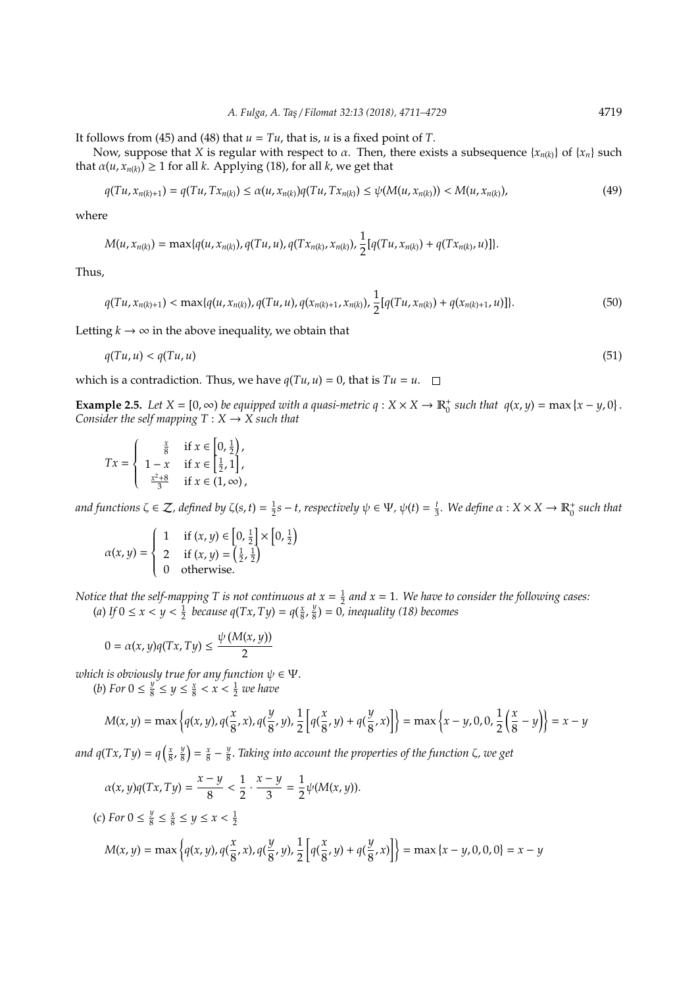It follows from (45) and (48) that  $u = Tu$ , that is, *u* is a fixed point of *T*.

Now, suppose that *X* is regular with respect to *α*. Then, there exists a subsequence {*x<sub>n(k)</sub>*} of {*x<sub>n</sub>*} such that  $\alpha(u, x_{n(k)}) \ge 1$  for all *k*. Applying (18), for all *k*, we get that

$$
q(Tu, x_{n(k)+1}) = q(Tu, Tx_{n(k)}) \le \alpha(u, x_{n(k)})q(Tu, Tx_{n(k)}) \le \psi(M(u, x_{n(k)})) < M(u, x_{n(k)}),
$$
\n(49)

where

$$
M(u, x_{n(k)}) = \max\{q(u, x_{n(k)}), q(Tu, u), q(Tx_{n(k)}, x_{n(k)}), \frac{1}{2}[q(Tu, x_{n(k)}) + q(Tx_{n(k)}, u)]\}.
$$

Thus,

$$
q(Tu, x_{n(k)+1}) < \max\{q(u, x_{n(k)}), q(Tu, u), q(x_{n(k)+1}, x_{n(k)}), \frac{1}{2}[q(Tu, x_{n(k)}) + q(x_{n(k)+1}, u)]\}.
$$
 (50)

Letting  $k \to \infty$  in the above inequality, we obtain that

$$
q(Tu, u) < q(Tu, u) \tag{51}
$$

which is a contradiction. Thus, we have  $q(Tu, u) = 0$ , that is  $Tu = u$ .

**Example 2.5.** Let  $X = [0, \infty)$  be equipped with a quasi-metric  $q : X \times X \to \mathbb{R}^+_0$  such that  $q(x, y) = \max\{x - y, 0\}$ . *Consider the self mapping*  $T : X \rightarrow X$  *such that* 

$$
Tx = \begin{cases} \frac{x}{8} & \text{if } x \in \left[0, \frac{1}{2}\right), \\ 1 - x & \text{if } x \in \left[\frac{1}{2}, 1\right], \\ \frac{x^2 + 8}{3} & \text{if } x \in \left(1, \infty\right), \end{cases}
$$

and functions  $\zeta \in \mathcal{Z}$ , defined by  $\zeta(s,t) = \frac{1}{2}s - t$ , respectively  $\psi \in \Psi$ ,  $\psi(t) = \frac{t}{3}$ . We define  $\alpha: X \times X \to \mathbb{R}_0^+$  such that

$$
\alpha(x, y) = \begin{cases} 1 & \text{if } (x, y) \in \left[0, \frac{1}{2}\right] \times \left[0, \frac{1}{2}\right) \\ 2 & \text{if } (x, y) = \left(\frac{1}{2}, \frac{1}{2}\right) \\ 0 & \text{otherwise.} \end{cases}
$$

*Notice that the self-mapping T* is not continuous at  $x = \frac{1}{2}$  and  $x = 1$ . We have to consider the following cases: (*a*) If  $0 \le x < y < \frac{1}{2}$  because  $q(Tx, Ty) = q(\frac{x}{8}, \frac{y}{8})$ 8 ) = 0*, inequality (18) becomes*

$$
0 = \alpha(x, y)q(Tx, Ty) \le \frac{\psi(M(x, y))}{2}
$$

*which is obviously true for any function*  $\psi \in \Psi$ .

(*b*) *For*  $0 \leq \frac{y}{8}$  $\frac{y}{8} \leq y \leq \frac{x}{8} < x < \frac{1}{2}$  we have

$$
M(x, y) = \max \left\{ q(x, y), q(\frac{x}{8}, x), q(\frac{y}{8}, y), \frac{1}{2} \left[ q(\frac{x}{8}, y) + q(\frac{y}{8}, x) \right] \right\} = \max \left\{ x - y, 0, 0, \frac{1}{2} (\frac{x}{8} - y) \right\} = x - y
$$

*and*  $q(Tx, Ty) = q\left(\frac{x}{8}, \frac{y}{8}\right)$  $\frac{y}{8}$ ) =  $\frac{x}{8} - \frac{y}{8}$ 8 . *Taking into account the properties of the function* ζ*, we get*

$$
\alpha(x, y)q(Tx, Ty) = \frac{x - y}{8} < \frac{1}{2} \cdot \frac{x - y}{3} = \frac{1}{2}\psi(M(x, y)).
$$
  
(c) For  $0 \le \frac{y}{8} \le \frac{x}{8} \le y \le x < \frac{1}{2}$   

$$
M(x, y) = \max \left\{ q(x, y), q(\frac{x}{8}, x), q(\frac{y}{8}, y), \frac{1}{2} \left[ q(\frac{x}{8}, y) + q(\frac{y}{8}, x) \right] \right\} = \max \left\{ x - y, 0, 0, 0 \right\} = x - y
$$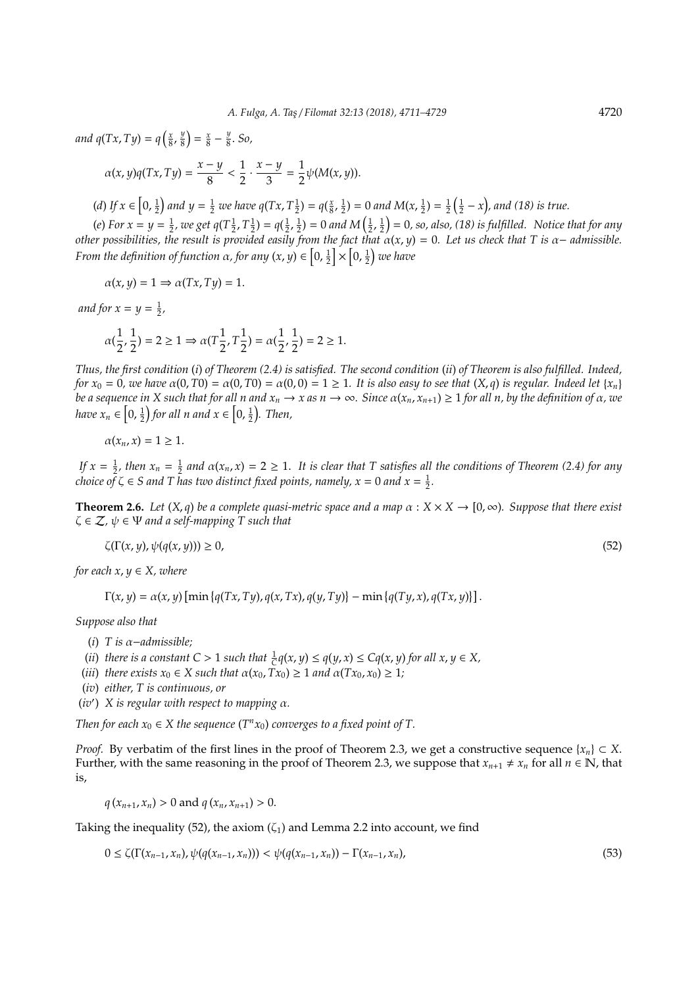*and*  $q(Tx, Ty) = q\left(\frac{x}{8}, \frac{y}{8}\right)$  $\frac{y}{8}$ ) =  $\frac{x}{8} - \frac{y}{8}$  $\frac{y}{8}$ . So,

$$
\alpha(x,y)q(Tx,Ty)=\frac{x-y}{8}<\frac{1}{2}\cdot\frac{x-y}{3}=\frac{1}{2}\psi(M(x,y)).
$$

(*d*) If  $x \in [0, \frac{1}{2})$  and  $y = \frac{1}{2}$  we have  $q(Tx, T\frac{1}{2}) = q(\frac{x}{8}, \frac{1}{2}) = 0$  and  $M(x, \frac{1}{2}) = \frac{1}{2}(\frac{1}{2} - x)$ , and (18) is true.

(*e*) For  $x = y = \frac{1}{2}$ , we get  $q(T \frac{1}{2}, T \frac{1}{2}) = q(\frac{1}{2}, \frac{1}{2}) = 0$  and  $M(\frac{1}{2}, \frac{1}{2}) = 0$ , so, also, (18) is fulfilled. Notice that for any *other possibilities, the result is provided easily from the fact that*  $\alpha(x, y) = 0$ . Let us check that T is  $\alpha$ - *admissible. From the definition of function*  $\alpha$ *, for any*  $(x, y) \in \left[0, \frac{1}{2}\right] \times \left[0, \frac{1}{2}\right]$  we have

$$
\alpha(x, y) = 1 \Rightarrow \alpha(Tx, Ty) = 1.
$$

*and for*  $x = y = \frac{1}{2}$ ,

$$
\alpha(\frac{1}{2},\frac{1}{2})=2\geq 1\Rightarrow \alpha(T\frac{1}{2},T\frac{1}{2})=\alpha(\frac{1}{2},\frac{1}{2})=2\geq 1.
$$

*Thus, the first condition* (*i*) *of Theorem (2.4) is satisfied. The second condition* (*ii*) *of Theorem is also fulfilled. Indeed, for*  $x_0 = 0$ , we have  $\alpha(0, T0) = \alpha(0, T0) = \alpha(0, 0) = 1 \ge 1$ . It is also easy to see that  $(X, q)$  is regular. Indeed let  $\{x_n\}$ *be a sequence in X such that for all n and*  $x_n \to x$  *as n*  $\to \infty$ *. Since*  $\alpha(x_n, x_{n+1}) \ge 1$  *for all n, by the definition of*  $\alpha$ *, we* have  $x_n \in \left[0, \frac{1}{2}\right)$  for all n and  $x \in \left[0, \frac{1}{2}\right)$ . Then,

$$
\alpha(x_n,x)=1\geq 1.
$$

*If*  $x = \frac{1}{2}$ , then  $x_n = \frac{1}{2}$  and  $\alpha(x_n, x) = 2 \ge 1$ . It is clear that T satisfies all the conditions of Theorem (2.4) for any *choice of*  $\zeta \in S$  *and*  $T$  *has two distinct fixed points, namely,*  $x = 0$  *and*  $x = \frac{1}{2}$ *.* 

**Theorem 2.6.** *Let*  $(X, q)$  *be a complete quasi-metric space and a map*  $\alpha : X \times X \to [0, \infty)$ *. Suppose that there exist*  $\zeta \in \mathcal{Z}$ ,  $\psi \in \Psi$  and a self-mapping T such that

$$
\zeta(\Gamma(x,y),\psi(q(x,y))) \ge 0,\tag{52}
$$

*for each*  $x, y \in X$ *, where* 

 $\Gamma(x, y) = \alpha(x, y) [\min \{q(Tx, Ty), q(x, Tx), q(y, Ty)\} - \min \{q(Ty, x), q(Tx, y)\}]$ .

*Suppose also that*

- (*i*) *T is* α−*admissible;*
- (*ii*) *there is a constant C > 1 such that*  $\frac{1}{C}q(x, y) \le q(y, x) \le Cq(x, y)$  *for all x, y*  $\in$  *X*,
- (*iii*) *there exists*  $x_0 \in X$  *such that*  $\alpha(x_0, Tx_0) \ge 1$  *and*  $\alpha(Tx_0, x_0) \ge 1$ *;*
- (*iv*) *either, T is continuous, or*
- (*iv*<sup>0</sup> ) *X is regular with respect to mapping* α*.*

*Then for each*  $x_0 \in X$  *the sequence*  $(T^n x_0)$  *converges to a fixed point of*  $T$ *.* 

*Proof.* By verbatim of the first lines in the proof of Theorem 2.3, we get a constructive sequence  $\{x_n\} \subset X$ . Further, with the same reasoning in the proof of Theorem 2.3, we suppose that  $x_{n+1} \neq x_n$  for all  $n \in \mathbb{N}$ , that is,

$$
q(x_{n+1}, x_n) > 0
$$
 and  $q(x_n, x_{n+1}) > 0$ .

Taking the inequality (52), the axiom  $(\zeta_1)$  and Lemma 2.2 into account, we find

$$
0 \le \zeta(\Gamma(x_{n-1}, x_n), \psi(q(x_{n-1}, x_n))) < \psi(q(x_{n-1}, x_n)) - \Gamma(x_{n-1}, x_n),
$$
\n(53)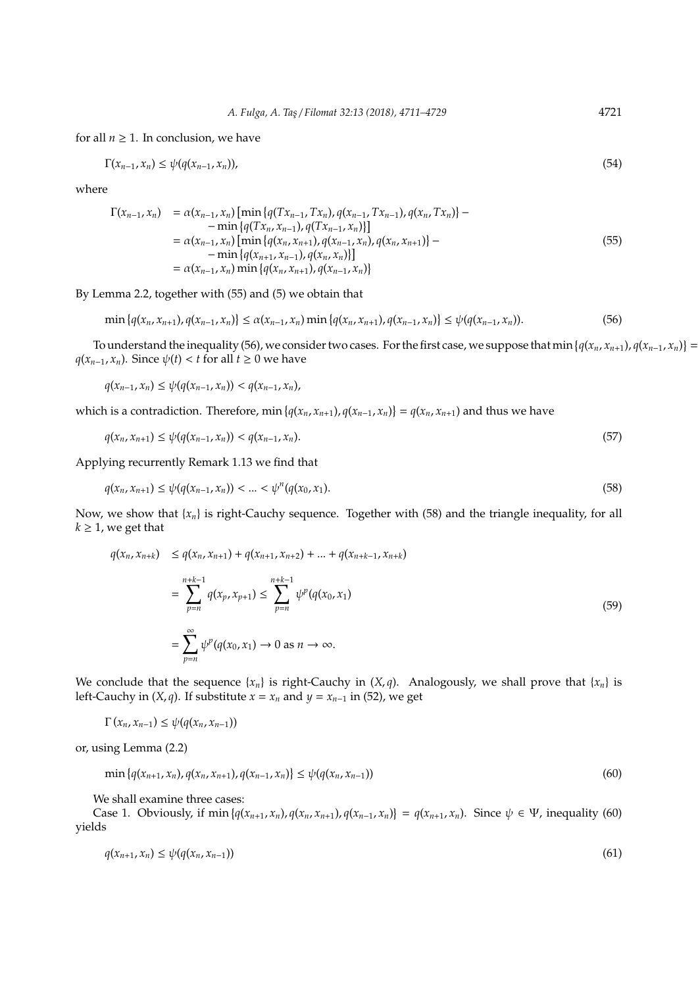for all  $n \geq 1$ . In conclusion, we have

$$
\Gamma(x_{n-1},x_n) \leq \psi(q(x_{n-1},x_n)),\tag{54}
$$

where

$$
\Gamma(x_{n-1}, x_n) = \alpha(x_{n-1}, x_n) [\min \{q(Tx_{n-1}, Tx_n), q(x_{n-1}, Tx_{n-1}), q(x_n, Tx_n)\} - \min \{q(Tx_n, x_{n-1}), q(Tx_{n-1}, x_n)\}]
$$
  
\n
$$
= \alpha(x_{n-1}, x_n) [\min \{q(x_n, x_{n+1}), q(x_{n-1}, x_n), q(x_n, x_{n+1})\} - \min \{q(x_{n+1}, x_{n-1}), q(x_n, x_n)\}]
$$
  
\n
$$
= \alpha(x_{n-1}, x_n) \min \{q(x_n, x_{n+1}), q(x_{n-1}, x_n)\}
$$
\n(55)

By Lemma 2.2, together with (55) and (5) we obtain that

$$
\min \{q(x_n, x_{n+1}), q(x_{n-1}, x_n)\} \le \alpha(x_{n-1}, x_n) \min \{q(x_n, x_{n+1}), q(x_{n-1}, x_n)\} \le \psi(q(x_{n-1}, x_n)).
$$
\n(56)

To understand the inequality (56), we consider two cases. For the first case, we suppose that min  $\{q(x_n,x_{n+1}),q(x_{n-1},x_n)\}=$ *q*( $x_{n-1}$ ,  $x_n$ ). Since  $\psi(t)$  < *t* for all *t* ≥ 0 we have

*q*(*x*<sub>*n*−1</sub>, *x*<sub>*n*</sub>) ≤  $\psi$ (*q*(*x*<sub>*n*−1</sub>, *x*<sub>*n*</sub>)) < *q*(*x*<sub>*n*−1</sub>, *x*<sub>*n*</sub>),

which is a contradiction. Therefore,  $\min \{q(x_n, x_{n+1}), q(x_{n-1}, x_n)\} = q(x_n, x_{n+1})$  and thus we have

$$
q(x_n, x_{n+1}) \le \psi(q(x_{n-1}, x_n)) < q(x_{n-1}, x_n). \tag{57}
$$

Applying recurrently Remark 1.13 we find that

$$
q(x_n, x_{n+1}) \le \psi(q(x_{n-1}, x_n)) < \dots < \psi^n(q(x_0, x_1). \tag{58}
$$

Now, we show that  $\{x_n\}$  is right-Cauchy sequence. Together with (58) and the triangle inequality, for all  $k \geq 1$ , we get that

$$
q(x_n, x_{n+k}) \le q(x_n, x_{n+1}) + q(x_{n+1}, x_{n+2}) + \dots + q(x_{n+k-1}, x_{n+k})
$$
  
= 
$$
\sum_{p=n}^{n+k-1} q(x_p, x_{p+1}) \le \sum_{p=n}^{n+k-1} \psi^p(q(x_0, x_1))
$$
  
= 
$$
\sum_{p=n}^{\infty} \psi^p(q(x_0, x_1) \to 0 \text{ as } n \to \infty).
$$
 (59)

We conclude that the sequence  $\{x_n\}$  is right-Cauchy in  $(X, q)$ . Analogously, we shall prove that  $\{x_n\}$  is left-Cauchy in  $(X, q)$ . If substitute  $x = x_n$  and  $y = x_{n-1}$  in (52), we get

$$
\Gamma(x_n, x_{n-1}) \leq \psi(q(x_n, x_{n-1}))
$$

or, using Lemma (2.2)

$$
\min \{q(x_{n+1}, x_n), q(x_n, x_{n+1}), q(x_{n-1}, x_n)\} \le \psi(q(x_n, x_{n-1}))
$$
\n(60)

We shall examine three cases:

Case 1. Obviously, if min  $\{q(x_{n+1},x_n), q(x_n,x_{n+1}), q(x_{n-1},x_n)\} = q(x_{n+1},x_n)$ . Since  $\psi \in \Psi$ , inequality (60) yields

$$
q(x_{n+1},x_n) \leq \psi(q(x_n,x_{n-1})) \tag{61}
$$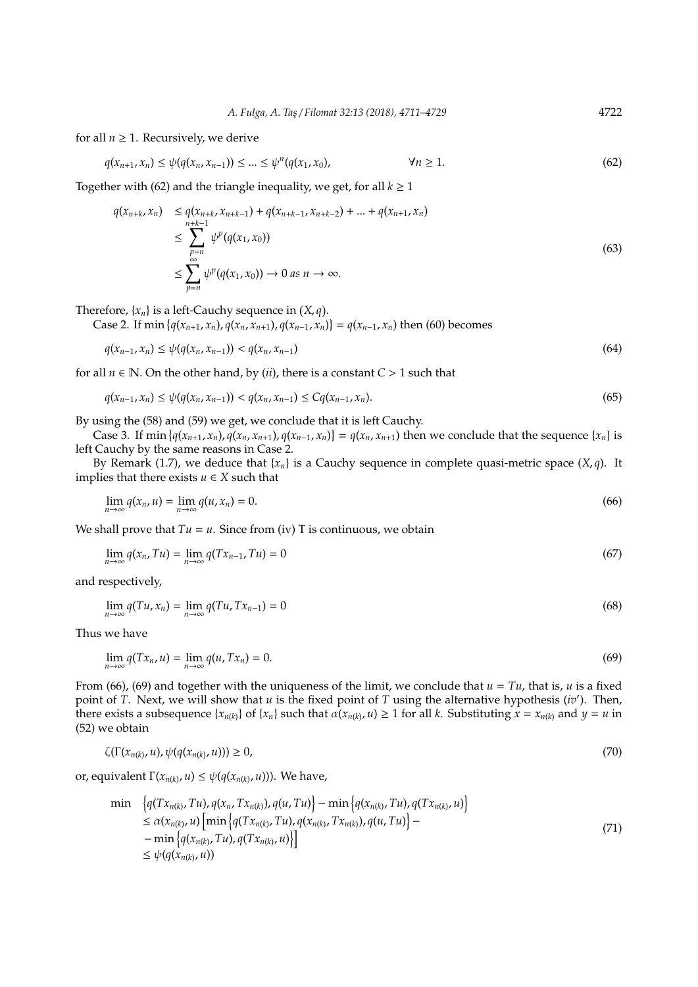for all  $n \geq 1$ . Recursively, we derive

$$
q(x_{n+1}, x_n) \le \psi(q(x_n, x_{n-1})) \le \dots \le \psi^n(q(x_1, x_0), \qquad \forall n \ge 1.
$$
\n(62)

Together with (62) and the triangle inequality, we get, for all  $k \ge 1$ 

$$
q(x_{n+k}, x_n) \le q(x_{n+k}, x_{n+k-1}) + q(x_{n+k-1}, x_{n+k-2}) + \dots + q(x_{n+1}, x_n)
$$
  
\n
$$
\le \sum_{p=n}^{n+k-1} \psi^p(q(x_1, x_0))
$$
  
\n
$$
\le \sum_{p=n}^{\infty} \psi^p(q(x_1, x_0)) \to 0 \text{ as } n \to \infty.
$$
 (63)

Therefore,  $\{x_n\}$  is a left-Cauchy sequence in  $(X, q)$ .

Case 2. If min  $\{q(x_{n+1}, x_n), q(x_n, x_{n+1}), q(x_{n-1}, x_n)\} = q(x_{n-1}, x_n)$  then (60) becomes

$$
q(x_{n-1}, x_n) \le \psi(q(x_n, x_{n-1})) < q(x_n, x_{n-1}) \tag{64}
$$

for all  $n \in \mathbb{N}$ . On the other hand, by (*ii*), there is a constant  $C > 1$  such that

$$
q(x_{n-1}, x_n) \le \psi(q(x_n, x_{n-1})) < q(x_n, x_{n-1}) \le Cq(x_{n-1}, x_n). \tag{65}
$$

By using the (58) and (59) we get, we conclude that it is left Cauchy.

Case 3. If min  $\{q(x_{n+1}, x_n), q(x_n, x_{n+1}), q(x_{n-1}, x_n)\} = q(x_n, x_{n+1})$  then we conclude that the sequence  $\{x_n\}$  is left Cauchy by the same reasons in Case 2.

By Remark (1.7), we deduce that  $\{x_n\}$  is a Cauchy sequence in complete quasi-metric space  $(X, q)$ . It implies that there exists  $u \in X$  such that

$$
\lim_{n \to \infty} q(x_n, u) = \lim_{n \to \infty} q(u, x_n) = 0. \tag{66}
$$

We shall prove that  $Tu = u$ . Since from (iv) T is continuous, we obtain

$$
\lim_{n \to \infty} q(x_n, Tu) = \lim_{n \to \infty} q(Tx_{n-1}, Tu) = 0 \tag{67}
$$

and respectively,

$$
\lim_{n \to \infty} q(Tu, x_n) = \lim_{n \to \infty} q(Tu, Tx_{n-1}) = 0
$$
\n(68)

Thus we have

$$
\lim_{n \to \infty} q(Tx_n, u) = \lim_{n \to \infty} q(u, Tx_n) = 0.
$$
\n(69)

From (66), (69) and together with the uniqueness of the limit, we conclude that  $u = Tu$ , that is, *u* is a fixed point of *T*. Next, we will show that  $u$  is the fixed point of *T* using the alternative hypothesis (*iv*'). Then, there exists a subsequence  $\{x_{n(k)}\}$  of  $\{x_n\}$  such that  $\alpha(x_{n(k)}, u) \ge 1$  for all k. Substituting  $x = x_{n(k)}$  and  $y = u$  in (52) we obtain

$$
\zeta(\Gamma(x_{n(k)},u),\psi(q(x_{n(k)},u)))\geq 0,\tag{70}
$$

or, equivalent  $\Gamma(x_{n(k)}, u) \leq \psi(q(x_{n(k)}, u))$ ). We have,

$$
\min \left\{ q(Tx_{n(k)}, Tu), q(x_n, Tx_{n(k)}), q(u, Tu) \right\} - \min \left\{ q(x_{n(k)}, Tu), q(Tx_{n(k)}, u) \right\} \n\le \alpha(x_{n(k)}, u) \left[ \min \left\{ q(Tx_{n(k)}, Tu), q(x_{n(k)}, Tx_{n(k)}), q(u, Tu) \right\} - \min \left\{ q(x_{n(k)}, Tu), q(Tx_{n(k)}, u) \right\} \right] \n- \min \left\{ q(x_{n(k)}, Tu), q(Tx_{n(k)}, u) \right\} \right]
$$
\n(71)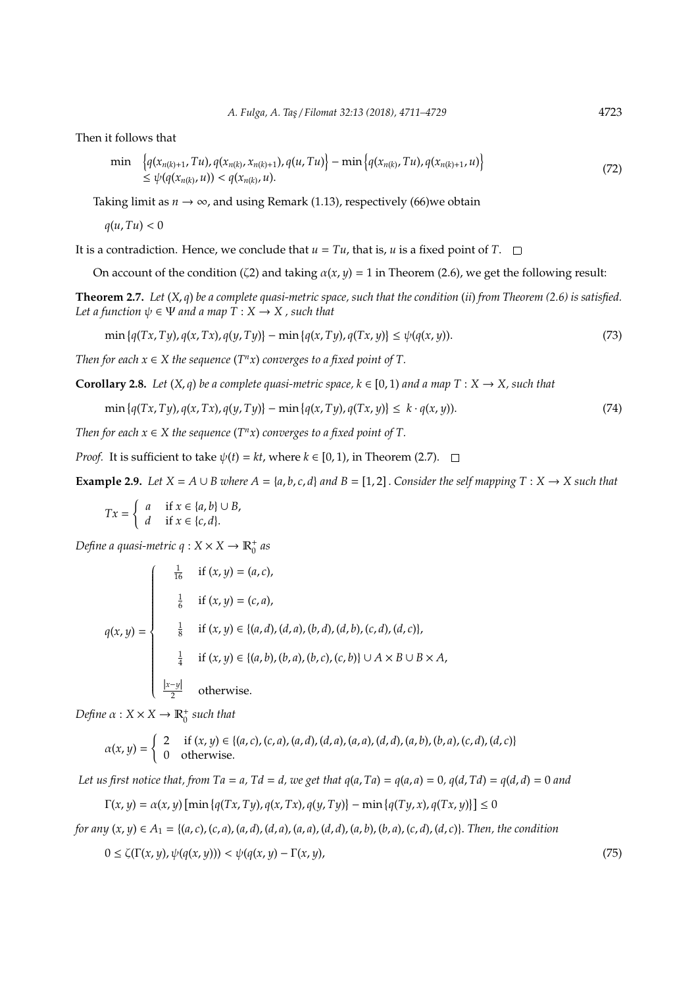Then it follows that

$$
\min \left\{ q(x_{n(k)+1}, Tu), q(x_{n(k)}, x_{n(k)+1}), q(u, Tu) \right\} - \min \left\{ q(x_{n(k)}, Tu), q(x_{n(k)+1}, u) \right\} \n\leq \psi(q(x_{n(k)}, u)) < q(x_{n(k)}, u).
$$
\n(72)

Taking limit as  $n \to \infty$ , and using Remark (1.13), respectively (66)we obtain

 $q(u, Tu) < 0$ 

It is a contradiction. Hence, we conclude that  $u = Tu$ , that is, *u* is a fixed point of *T*.  $\Box$ 

On account of the condition ( $\zeta$ 2) and taking  $\alpha(x, y) = 1$  in Theorem (2.6), we get the following result:

**Theorem 2.7.** *Let* (*X*, *q*) *be a complete quasi-metric space, such that the condition* (*ii*) *from Theorem (2.6) is satisfied. Let a function*  $\psi \in \Psi$  *and a map*  $T : X \rightarrow X$ , *such that* 

 $\min \{q(Tx, Ty), q(x, Tx), q(y, Ty)\} - \min \{q(x, Ty), q(Tx, y)\} \leq \psi(q(x, y)).$  (73)

*Then for each*  $x \in X$  *the sequence*  $(T^n x)$  *converges to a fixed point of*  $T$ *.* 

**Corollary 2.8.** Let  $(X, q)$  be a complete quasi-metric space,  $k \in [0, 1)$  and a map  $T : X \rightarrow X$ , such that

$$
\min\{q(Tx,Ty),q(x,Tx),q(y,Ty)\}-\min\{q(x,Ty),q(Tx,y)\}\leq k\cdot q(x,y)).\tag{74}
$$

*Then for each*  $x \in X$  *the sequence*  $(T^n x)$  *converges to a fixed point of*  $T$ *.* 

*Proof.* It is sufficient to take  $\psi(t) = kt$ , where  $k \in [0, 1)$ , in Theorem (2.7).  $\Box$ 

**Example 2.9.** Let  $X = A \cup B$  where  $A = \{a, b, c, d\}$  and  $B = [1, 2]$ . Consider the self mapping  $T : X \rightarrow X$  such that

$$
Tx = \begin{cases} a & \text{if } x \in \{a, b\} \cup B, \\ d & \text{if } x \in \{c, d\}. \end{cases}
$$

*Define a quasi-metric*  $q: X \times X \rightarrow \mathbb{R}_0^+$  *as* 

$$
q(x, y) = \begin{cases} \frac{1}{16} & \text{if } (x, y) = (a, c), \\ \frac{1}{6} & \text{if } (x, y) = (c, a), \\ \frac{1}{8} & \text{if } (x, y) \in \{(a, d), (d, a), (b, d), (d, b), (c, d), (d, c)\}, \\ \frac{1}{4} & \text{if } (x, y) \in \{(a, b), (b, a), (b, c), (c, b)\} \cup A \times B \cup B \times A, \\ \frac{|x - y|}{2} & \text{otherwise.} \end{cases}
$$

 $Define \alpha : X \times X \rightarrow \mathbb{R}_0^+ such that$ 

$$
\alpha(x, y) = \begin{cases} 2 & \text{if } (x, y) \in \{(a, c), (c, a), (a, d), (d, a), (a, a), (d, d), (a, b), (b, a), (c, d), (d, c)\} \\ 0 & \text{otherwise.} \end{cases}
$$

*Let us first notice that, from Ta = a, Td = d, we get that*  $q(a, Ta) = q(a, a) = 0$ *,*  $q(d, Td) = q(d, d) = 0$  *and* 

$$
\Gamma(x, y) = \alpha(x, y) \left[ \min \left\{ q(Tx, Ty), q(x, Tx), q(y, Ty) \right\} - \min \left\{ q(Ty, x), q(Tx, y) \right\} \right] \le 0
$$

for any  $(x, y) \in A_1 = \{(a, c), (c, a), (a, d), (d, a), (a, a), (d, d), (a, b), (b, a), (c, d), (d, c)\}.$  Then, the condition

$$
0 \le \zeta(\Gamma(x, y), \psi(q(x, y))) < \psi(q(x, y) - \Gamma(x, y)),\tag{75}
$$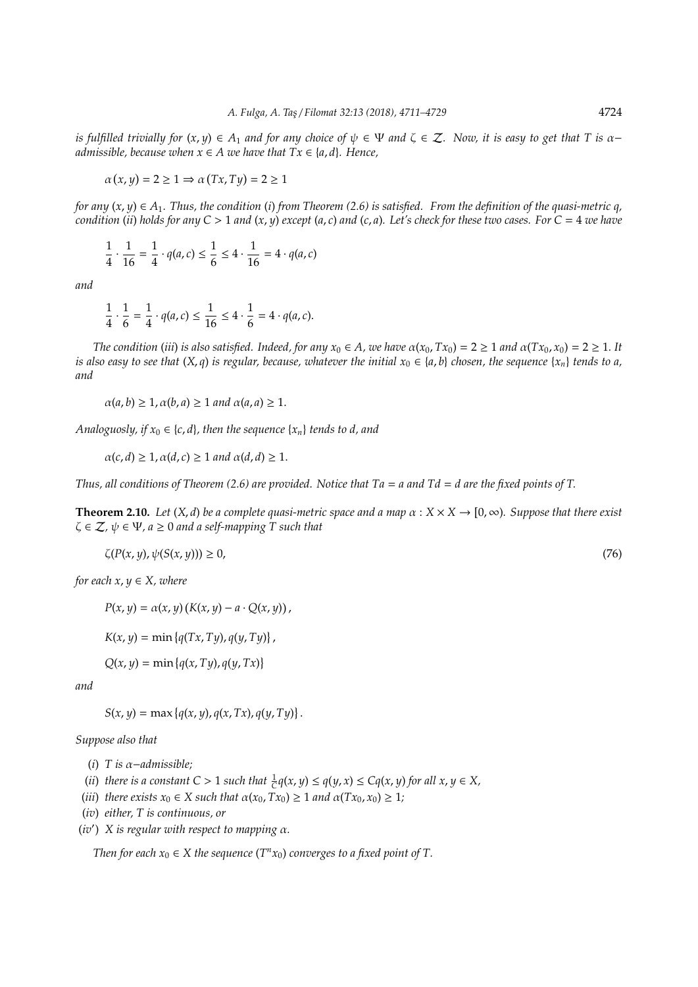*is fulfilled trivially for*  $(x, y) \in A_1$  *and for any choice of*  $\psi \in \Psi$  *and*  $\zeta \in \mathcal{Z}$ *. Now, it is easy to get that* T *is*  $\alpha$ *admissible, because when*  $x \in A$  *we have that*  $Tx \in \{a, d\}$ *. Hence,* 

$$
\alpha(x, y) = 2 \ge 1 \Rightarrow \alpha(Tx, Ty) = 2 \ge 1
$$

*for any* (*x*, *y*) ∈ *A*1*. Thus, the condition* (*i*) *from Theorem (2.6) is satisfied. From the definition of the quasi-metric q, condition* (*ii*) *holds* for any  $C > 1$  *and*  $(x, y)$  *except*  $(a, c)$  *and*  $(c, a)$ *. Let's check for these two cases. For*  $C = 4$  *we have* 

$$
\frac{1}{4} \cdot \frac{1}{16} = \frac{1}{4} \cdot q(a, c) \le \frac{1}{6} \le 4 \cdot \frac{1}{16} = 4 \cdot q(a, c)
$$

*and*

$$
\frac{1}{4} \cdot \frac{1}{6} = \frac{1}{4} \cdot q(a,c) \le \frac{1}{16} \le 4 \cdot \frac{1}{6} = 4 \cdot q(a,c).
$$

*The condition* (*iii*) *is also satisfied. Indeed, for any*  $x_0 \in A$ , we have  $\alpha(x_0, Tx_0) = 2 \ge 1$  and  $\alpha(Tx_0, x_0) = 2 \ge 1$ . It *is also easy to see that*  $(X, q)$  *is regular, because, whatever the initial*  $x_0 \in \{a, b\}$  *chosen, the sequence*  $\{x_n\}$  *tends to a, and*

$$
\alpha(a,b) \geq 1, \alpha(b,a) \geq 1
$$
 and  $\alpha(a,a) \geq 1$ .

*Analoguosly, if*  $x_0 \in \{c, d\}$ *, then the sequence*  $\{x_n\}$  *tends to d, and* 

 $\alpha(c, d) \geq 1$ ,  $\alpha(d, c) \geq 1$  *and*  $\alpha(d, d) \geq 1$ .

*Thus, all conditions of Theorem (2.6) are provided. Notice that Ta* = *a and Td* = *d are the fixed points of T.*

**Theorem 2.10.** Let  $(X, d)$  be a complete quasi-metric space and a map  $\alpha : X \times X \to [0, \infty)$ *. Suppose that there exist*  $\zeta \in \mathcal{Z}$ ,  $\psi \in \Psi$ ,  $a \geq 0$  and a self-mapping T such that

$$
\zeta(P(x, y), \psi(S(x, y))) \ge 0,\tag{76}
$$

*for each*  $x, y \in X$ *, where* 

 $P(x, y) = \alpha(x, y) (K(x, y) - a \cdot Q(x, y))$ ,

$$
K(x, y) = \min \{q(Tx, Ty), q(y, Ty)\},\
$$

$$
Q(x, y) = \min \{q(x, Ty), q(y, Tx)\}
$$

*and*

 $S(x, y) = \max \{q(x, y), q(x, Tx), q(y, Ty)\}.$ 

*Suppose also that*

- (*i*) *T is* α−*admissible;*
- (*ii*) *there is a constant C > 1 such that*  $\frac{1}{C}q(x, y) \le q(y, x) \le Cq(x, y)$  *for all x, y*  $\in$  *X*,
- (*iii*) *there exists*  $x_0 \in X$  *such that*  $\alpha(x_0, Tx_0) \ge 1$  *and*  $\alpha(Tx_0, x_0) \ge 1$ *;*
- (*iv*) *either, T is continuous, or*
- (*iv*<sup>0</sup> ) *X is regular with respect to mapping* α*.*

*Then for each*  $x_0 \in X$  *the sequence*  $(T^n x_0)$  *converges to a fixed point of T*.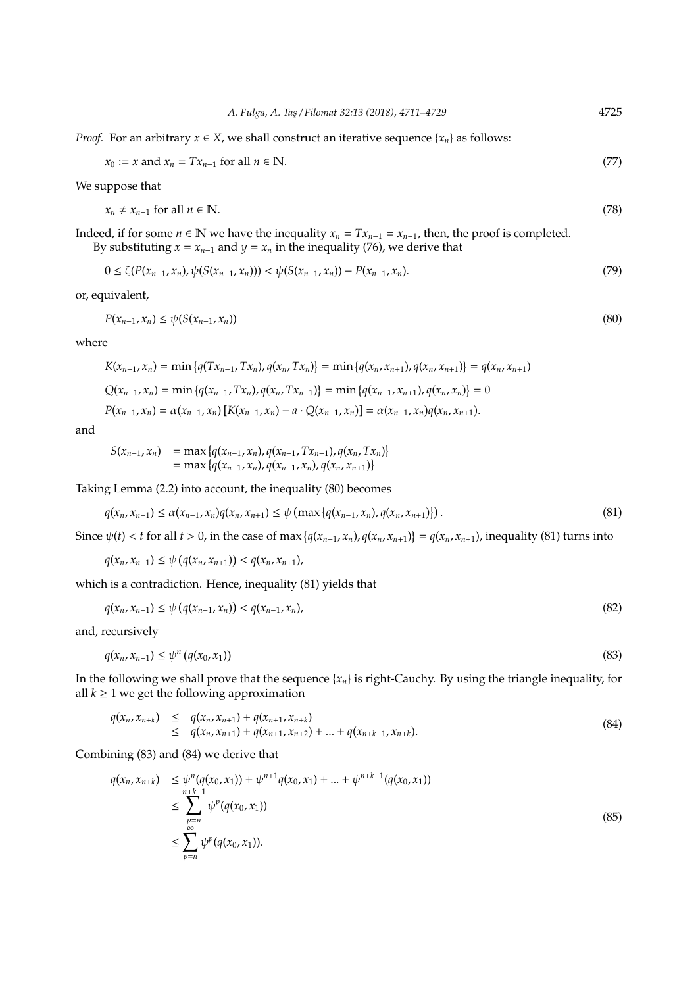*Proof.* For an arbitrary  $x \in X$ , we shall construct an iterative sequence  $\{x_n\}$  as follows:

$$
x_0 := x \text{ and } x_n = Tx_{n-1} \text{ for all } n \in \mathbb{N}.
$$
 (77)

We suppose that

$$
x_n \neq x_{n-1} \text{ for all } n \in \mathbb{N}.\tag{78}
$$

Indeed, if for some *n* ∈ **N** we have the inequality  $x_n = Tx_{n-1} = x_{n-1}$ , then, the proof is completed. By substituting  $x = x_{n-1}$  and  $y = x_n$  in the inequality (76), we derive that

$$
0 \le \zeta(P(x_{n-1}, x_n), \psi(S(x_{n-1}, x_n))) < \psi(S(x_{n-1}, x_n)) - P(x_{n-1}, x_n). \tag{79}
$$

or, equivalent,

$$
P(x_{n-1}, x_n) \le \psi(S(x_{n-1}, x_n))
$$
\n(80)

where

$$
K(x_{n-1}, x_n) = \min \{q(Tx_{n-1}, Tx_n), q(x_n, Tx_n)\} = \min \{q(x_n, x_{n+1}), q(x_n, x_{n+1})\} = q(x_n, x_{n+1})
$$
  

$$
Q(x_{n-1}, x_n) = \min \{q(x_{n-1}, Tx_n), q(x_n, Tx_{n-1})\} = \min \{q(x_{n-1}, x_{n+1}), q(x_n, x_n)\} = 0
$$
  

$$
P(x_{n-1}, x_n) = \alpha(x_{n-1}, x_n) [K(x_{n-1}, x_n) - a \cdot Q(x_{n-1}, x_n)] = \alpha(x_{n-1}, x_n) q(x_n, x_{n+1}).
$$

and

$$
S(x_{n-1}, x_n) = \max \{q(x_{n-1}, x_n), q(x_{n-1}, Tx_{n-1}), q(x_n, Tx_n)\}
$$
  
= max \{q(x\_{n-1}, x\_n), q(x\_{n-1}, x\_n), q(x\_n, x\_{n+1})\}

Taking Lemma (2.2) into account, the inequality (80) becomes

$$
q(x_n, x_{n+1}) \le \alpha(x_{n-1}, x_n) q(x_n, x_{n+1}) \le \psi \left( \max \{ q(x_{n-1}, x_n), q(x_n, x_{n+1}) \} \right). \tag{81}
$$

Since  $\psi(t) < t$  for all  $t > 0$ , in the case of max  $\{q(x_{n-1}, x_n), q(x_n, x_{n+1})\} = q(x_n, x_{n+1})$ , inequality (81) turns into

$$
q(x_n, x_{n+1}) \leq \psi(q(x_n, x_{n+1})) < q(x_n, x_{n+1}),
$$

which is a contradiction. Hence, inequality (81) yields that

$$
q(x_n, x_{n+1}) \le \psi(q(x_{n-1}, x_n)) < q(x_{n-1}, x_n),\tag{82}
$$

and, recursively

$$
q(x_n, x_{n+1}) \le \psi^n \left( q(x_0, x_1) \right) \tag{83}
$$

In the following we shall prove that the sequence {*xn*} is right-Cauchy. By using the triangle inequality, for all  $k \geq 1$  we get the following approximation

$$
q(x_n, x_{n+k}) \leq q(x_n, x_{n+1}) + q(x_{n+1}, x_{n+k})
$$
  
\n
$$
\leq q(x_n, x_{n+1}) + q(x_{n+1}, x_{n+2}) + ... + q(x_{n+k-1}, x_{n+k}).
$$
\n(84)

Combining (83) and (84) we derive that

$$
q(x_n, x_{n+k}) \leq \psi^n(q(x_0, x_1)) + \psi^{n+1}q(x_0, x_1) + \dots + \psi^{n+k-1}(q(x_0, x_1))
$$
  
\n
$$
\leq \sum_{p=n}^{n+k-1} \psi^p(q(x_0, x_1))
$$
  
\n
$$
\leq \sum_{p=n}^{\infty} \psi^p(q(x_0, x_1)).
$$
\n(85)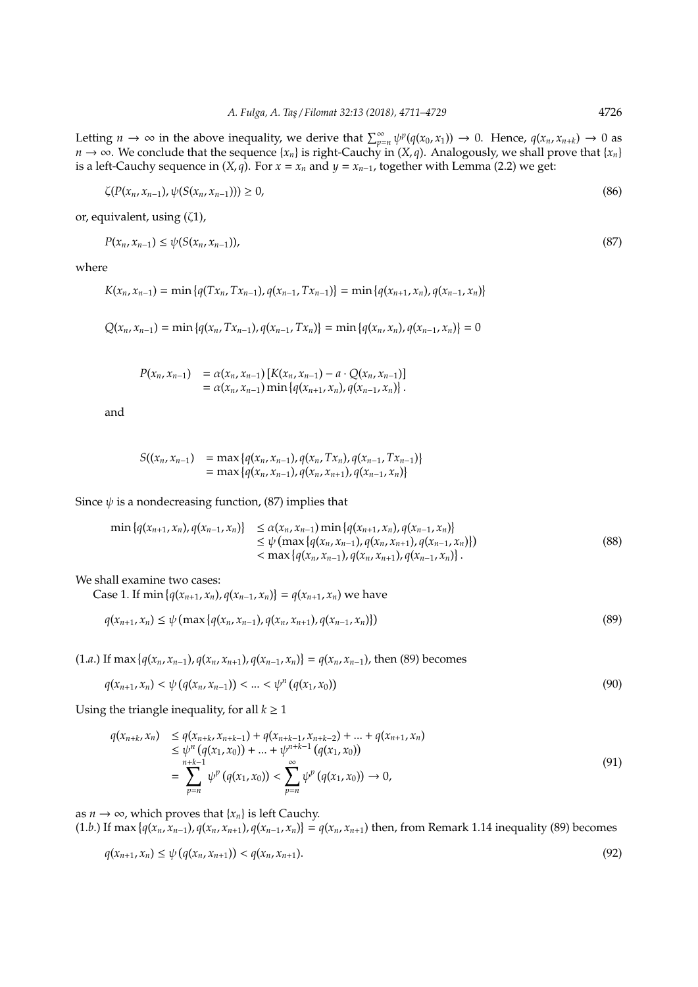Letting  $n \to \infty$  in the above inequality, we derive that  $\sum_{p=n}^{\infty} \psi^p(q(x_0, x_1)) \to 0$ . Hence,  $q(x_n, x_{n+k}) \to 0$  as *n* → ∞. We conclude that the sequence {*x<sub>n</sub>*} is right-Cauchy in (*X*, *q*). Analogously, we shall prove that {*x<sub>n</sub>*} is a left-Cauchy sequence in  $(X, q)$ . For  $x = x_n$  and  $y = x_{n-1}$ , together with Lemma (2.2) we get:

$$
\zeta(P(x_n, x_{n-1}), \psi(S(x_n, x_{n-1}))) \ge 0,
$$
\n(86)

or, equivalent, using (ζ1),

$$
P(x_n, x_{n-1}) \le \psi(S(x_n, x_{n-1})),
$$
\n(87)

where

$$
K(x_n, x_{n-1}) = \min \{q(Tx_n, Tx_{n-1}), q(x_{n-1}, Tx_{n-1})\} = \min \{q(x_{n+1}, x_n), q(x_{n-1}, x_n)\}\
$$

 $Q(x_n, x_{n-1}) = \min \{q(x_n, Tx_{n-1}), q(x_{n-1}, Tx_n)\} = \min \{q(x_n, x_n), q(x_{n-1}, x_n)\} = 0$ 

$$
P(x_n, x_{n-1}) = \alpha(x_n, x_{n-1}) [K(x_n, x_{n-1}) - a \cdot Q(x_n, x_{n-1})]
$$
  
=  $\alpha(x_n, x_{n-1})$  min  $\{q(x_{n+1}, x_n), q(x_{n-1}, x_n)\}\.$ 

and

$$
S((x_n, x_{n-1}) = \max \{q(x_n, x_{n-1}), q(x_n, Tx_n), q(x_{n-1}, Tx_{n-1})\}
$$
  
= max \{q(x\_n, x\_{n-1}), q(x\_n, x\_{n+1}), q(x\_{n-1}, x\_n)\}

Since  $\psi$  is a nondecreasing function, (87) implies that

$$
\min \{q(x_{n+1}, x_n), q(x_{n-1}, x_n)\} \leq \alpha(x_n, x_{n-1}) \min \{q(x_{n+1}, x_n), q(x_{n-1}, x_n)\} \leq \psi \left(\max \{q(x_n, x_{n-1}), q(x_n, x_{n+1}), q(x_{n-1}, x_n)\}\right) < \max \{q(x_n, x_{n-1}), q(x_n, x_{n+1}), q(x_{n-1}, x_n)\}.
$$
\n(88)

We shall examine two cases:

Case 1. If  $\min \{q(x_{n+1}, x_n), q(x_{n-1}, x_n)\} = q(x_{n+1}, x_n)$  we have

$$
q(x_{n+1}, x_n) \le \psi \left( \max \{ q(x_n, x_{n-1}), q(x_n, x_{n+1}), q(x_{n-1}, x_n) \} \right)
$$
\n(89)

(1.*a*.) If max { $q(x_n, x_{n-1})$ ,  $q(x_n, x_{n+1})$ ,  $q(x_{n-1}, x_n)$ } =  $q(x_n, x_{n-1})$ , then (89) becomes

$$
q(x_{n+1}, x_n) < \psi\left(q(x_n, x_{n-1})\right) < \ldots < \psi^n\left(q(x_1, x_0)\right) \tag{90}
$$

Using the triangle inequality, for all  $k \geq 1$ 

$$
q(x_{n+k}, x_n) \le q(x_{n+k}, x_{n+k-1}) + q(x_{n+k-1}, x_{n+k-2}) + \dots + q(x_{n+1}, x_n)
$$
  
\n
$$
\le \psi^n (q(x_1, x_0)) + \dots + \psi^{n+k-1} (q(x_1, x_0))
$$
  
\n
$$
= \sum_{p=n}^{n+k-1} \psi^p (q(x_1, x_0)) < \sum_{p=n}^{\infty} \psi^p (q(x_1, x_0)) \to 0,
$$
\n(91)

as  $n \to \infty$ , which proves that {*x<sub>n</sub>*} is left Cauchy.

(1.*b*.) If max { $q(x_n, x_{n-1}), q(x_n, x_{n+1}), q(x_{n-1}, x_n)$ } =  $q(x_n, x_{n+1})$  then, from Remark 1.14 inequality (89) becomes

$$
q(x_{n+1}, x_n) \le \psi(q(x_n, x_{n+1})) < q(x_n, x_{n+1}).\tag{92}
$$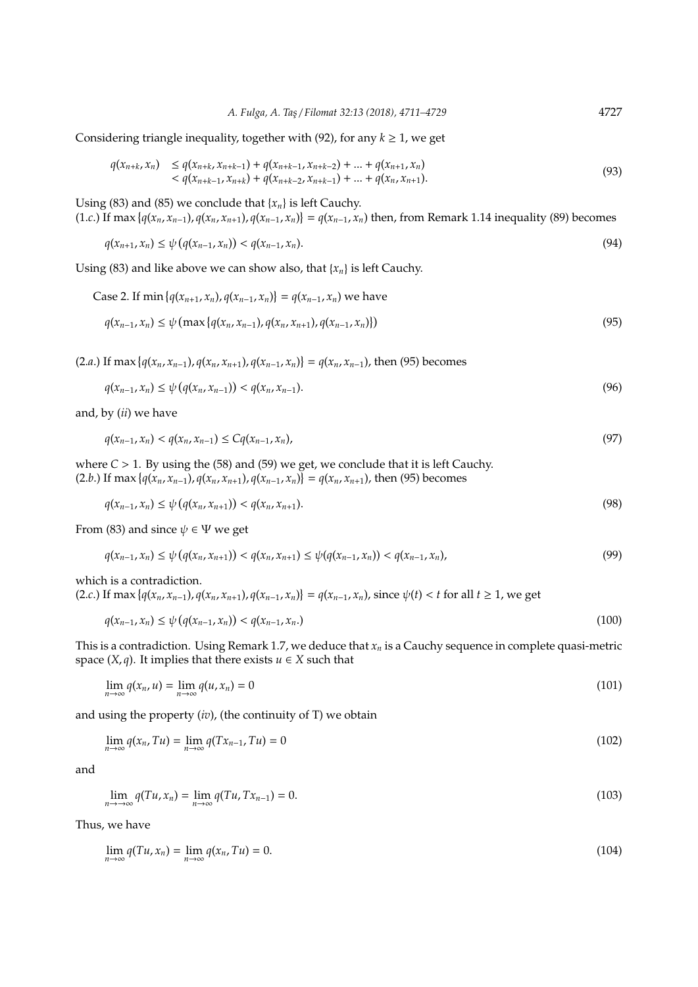*A. Fulga, A. Tas¸* / *Filomat 32:13 (2018), 4711–4729* 4727

Considering triangle inequality, together with (92), for any  $k \ge 1$ , we get

$$
q(x_{n+k}, x_n) \leq q(x_{n+k}, x_{n+k-1}) + q(x_{n+k-1}, x_{n+k-2}) + \dots + q(x_{n+1}, x_n) < q(x_{n+k-1}, x_{n+k}) + q(x_{n+k-2}, x_{n+k-1}) + \dots + q(x_n, x_{n+1}).
$$
 (93)

Using (83) and (85) we conclude that  ${x_n}$  is left Cauchy. (1.c.) If max { $q(x_n, x_{n-1}), q(x_n, x_{n+1}), q(x_{n-1}, x_n)$ } =  $q(x_{n-1}, x_n)$  then, from Remark 1.14 inequality (89) becomes

$$
q(x_{n+1}, x_n) \le \psi(q(x_{n-1}, x_n)) < q(x_{n-1}, x_n). \tag{94}
$$

Using (83) and like above we can show also, that  $\{x_n\}$  is left Cauchy.

Case 2. If min 
$$
\{q(x_{n+1}, x_n), q(x_{n-1}, x_n)\} = q(x_{n-1}, x_n)
$$
 we have  

$$
q(x_{n-1}, x_n) \le \psi \left(\max\{q(x_n, x_{n-1}), q(x_n, x_{n+1}), q(x_{n-1}, x_n)\}\right)
$$
(95)

(2.*a*.) If max { $q(x_n, x_{n-1}), q(x_n, x_{n+1}), q(x_{n-1}, x_n)$ } =  $q(x_n, x_{n-1})$ , then (95) becomes

$$
q(x_{n-1}, x_n) \le \psi(q(x_n, x_{n-1})) < q(x_n, x_{n-1}).\tag{96}
$$

and, by (*ii*) we have

$$
q(x_{n-1}, x_n) < q(x_n, x_{n-1}) \leq Cq(x_{n-1}, x_n),\tag{97}
$$

where  $C > 1$ . By using the (58) and (59) we get, we conclude that it is left Cauchy. (2.*b*.) If max { $q(x_n, x_{n-1}), q(x_n, x_{n+1}), q(x_{n-1}, x_n)$ } =  $q(x_n, x_{n+1})$ , then (95) becomes

$$
q(x_{n-1}, x_n) \le \psi(q(x_n, x_{n+1})) < q(x_n, x_{n+1}).\tag{98}
$$

From (83) and since  $\psi \in \Psi$  we get

$$
q(x_{n-1}, x_n) \le \psi(q(x_n, x_{n+1})) < q(x_n, x_{n+1}) \le \psi(q(x_{n-1}, x_n)) < q(x_{n-1}, x_n), \tag{99}
$$

which is a contradiction.

(2.c.) If max  $\{q(x_n, x_{n-1}), q(x_n, x_{n+1}), q(x_{n-1}, x_n)\} = q(x_{n-1}, x_n)$ , since  $\psi(t) < t$  for all  $t \ge 1$ , we get

$$
q(x_{n-1}, x_n) \le \psi(q(x_{n-1}, x_n)) < q(x_{n-1}, x_n). \tag{100}
$$

This is a contradiction. Using Remark 1.7, we deduce that *x<sup>n</sup>* is a Cauchy sequence in complete quasi-metric space  $(X, q)$ . It implies that there exists  $u \in X$  such that

$$
\lim_{n \to \infty} q(x_n, u) = \lim_{n \to \infty} q(u, x_n) = 0
$$
\n(101)

and using the property (*iv*), (the continuity of T) we obtain

$$
\lim_{n \to \infty} q(x_n, Tu) = \lim_{n \to \infty} q(Tx_{n-1}, Tu) = 0 \tag{102}
$$

and

$$
\lim_{n \to \infty} q(Tu, x_n) = \lim_{n \to \infty} q(Tu, Tx_{n-1}) = 0.
$$
\n(103)

Thus, we have

$$
\lim_{n \to \infty} q(Tu, x_n) = \lim_{n \to \infty} q(x_n, Tu) = 0. \tag{104}
$$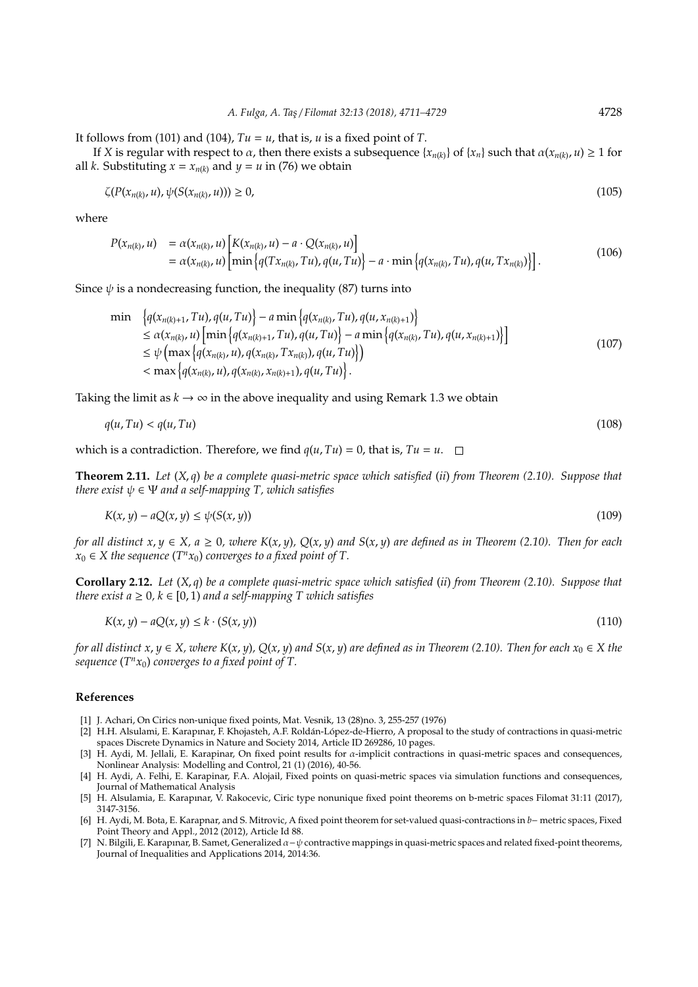It follows from (101) and (104),  $Tu = u$ , that is, *u* is a fixed point of *T*.

If X is regular with respect to  $\alpha$ , then there exists a subsequence  $\{x_{n(k)}\}$  of  $\{x_n\}$  such that  $\alpha(x_{n(k)}, u) \ge 1$  for all *k*. Substituting  $x = x_{n(k)}$  and  $y = u$  in (76) we obtain

$$
\zeta(P(x_{n(k)}, u), \psi(S(x_{n(k)}, u))) \ge 0,
$$
\n(105)

where

$$
P(x_{n(k)}, u) = \alpha(x_{n(k)}, u) \left[ K(x_{n(k)}, u) - a \cdot Q(x_{n(k)}, u) \right]
$$
  
=  $\alpha(x_{n(k)}, u) \left[ \min \left\{ q(Tx_{n(k)}, Tu), q(u, Tu) \right\} - a \cdot \min \left\{ q(x_{n(k)}, Tu), q(u, Tx_{n(k)}) \right\} \right].$  (106)

Since  $\psi$  is a nondecreasing function, the inequality (87) turns into

$$
\min \left\{ q(x_{n(k)+1}, Tu), q(u, Tu) \right\} - a \min \left\{ q(x_{n(k)}, Tu), q(u, x_{n(k)+1}) \right\} \n\leq \alpha(x_{n(k)}, u) \left[ \min \left\{ q(x_{n(k)+1}, Tu), q(u, Tu) \right\} - a \min \left\{ q(x_{n(k)}, Tu), q(u, x_{n(k)+1}) \right\} \right] \n\leq \psi \left( \max \left\{ q(x_{n(k)}, u), q(x_{n(k)}, Tx_{n(k)}), q(u, Tu) \right\} \right) \n< \max \left\{ q(x_{n(k)}, u), q(x_{n(k)}, x_{n(k)+1}), q(u, Tu) \right\}.
$$
\n(107)

Taking the limit as  $k \to \infty$  in the above inequality and using Remark 1.3 we obtain

$$
q(u, Tu) < q(u, Tu) \tag{108}
$$

which is a contradiction. Therefore, we find  $q(u, Tu) = 0$ , that is,  $Tu = u$ .  $\square$ 

**Theorem 2.11.** *Let* (*X*, *q*) *be a complete quasi-metric space which satisfied* (*ii*) *from Theorem (2.10). Suppose that there exist*  $\psi \in \Psi$  *and a self-mapping T, which satisfies* 

$$
K(x, y) - aQ(x, y) \le \psi(S(x, y))\tag{109}
$$

*for all distinct x,*  $y \in X$ *,*  $a \ge 0$ *, where*  $K(x, y)$ *,*  $Q(x, y)$  *and*  $S(x, y)$  *are defined as in Theorem (2.10). Then for each*  $x_0 \in X$  the sequence  $(T^n x_0)$  converges to a fixed point of T.

**Corollary 2.12.** *Let* (*X*, *q*) *be a complete quasi-metric space which satisfied* (*ii*) *from Theorem (2.10). Suppose that there exist a*  $\geq 0$ ,  $k \in [0, 1)$  *and a self-mapping T which satisfies* 

$$
K(x, y) - aQ(x, y) \le k \cdot (S(x, y))
$$
\n<sup>(110)</sup>

*for all distinct x,*  $y \in X$ *, where*  $K(x, y)$ ,  $Q(x, y)$  *and*  $S(x, y)$  *are defined as in Theorem (2.10). Then for each*  $x_0 \in X$  *the sequence* (*T <sup>n</sup>x*0) *converges to a fixed point of T.*

## **References**

- [1] J. Achari, On Cirics non-unique fixed points, Mat. Vesnik, 13 (28)no. 3, 255-257 (1976)
- [2] H.H. Alsulami, E. Karapınar, F. Khojasteh, A.F. Roldán-López-de-Hierro, A proposal to the study of contractions in quasi-metric spaces Discrete Dynamics in Nature and Society 2014, Article ID 269286, 10 pages.
- [3] H. Aydi, M. Jellali, E. Karapinar, On fixed point results for  $\alpha$ -implicit contractions in quasi-metric spaces and consequences, Nonlinear Analysis: Modelling and Control, 21 (1) (2016), 40-56.
- [4] H. Aydi, A. Felhi, E. Karapinar, F.A. Alojail, Fixed points on quasi-metric spaces via simulation functions and consequences, Journal of Mathematical Analysis
- [5] H. Alsulamia, E. Karapınar, V. Rakocevic, Ciric type nonunique fixed point theorems on b-metric spaces Filomat 31:11 (2017), 3147-3156.
- [6] H. Aydi, M. Bota, E. Karapnar, and S. Mitrovic, A fixed point theorem for set-valued quasi-contractions in *b*− metric spaces, Fixed Point Theory and Appl., 2012 (2012), Article Id 88.
- [7] N. Bilgili, E. Karapınar, B. Samet, Generalized  $\alpha \psi$  contractive mappings in quasi-metric spaces and related fixed-point theorems, Journal of Inequalities and Applications 2014, 2014:36.